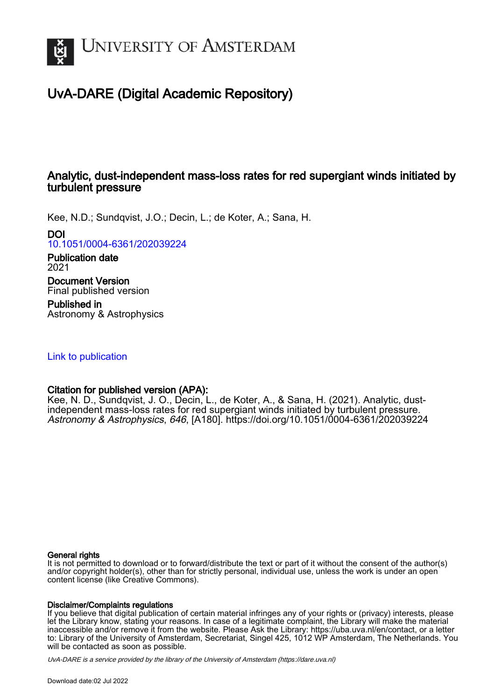

# UvA-DARE (Digital Academic Repository)

# Analytic, dust-independent mass-loss rates for red supergiant winds initiated by turbulent pressure

Kee, N.D.; Sundqvist, J.O.; Decin, L.; de Koter, A.; Sana, H.

DOI

[10.1051/0004-6361/202039224](https://doi.org/10.1051/0004-6361/202039224)

Publication date 2021

Document Version Final published version

Published in Astronomy & Astrophysics

# [Link to publication](https://dare.uva.nl/personal/pure/en/publications/analytic-dustindependent-massloss-rates-for-red-supergiant-winds-initiated-by-turbulent-pressure(df0d9102-a476-46b0-9c3d-9a436515d2e1).html)

# Citation for published version (APA):

Kee, N. D., Sundqvist, J. O., Decin, L., de Koter, A., & Sana, H. (2021). Analytic, dustindependent mass-loss rates for red supergiant winds initiated by turbulent pressure. Astronomy & Astrophysics, 646, [A180]. <https://doi.org/10.1051/0004-6361/202039224>

# General rights

It is not permitted to download or to forward/distribute the text or part of it without the consent of the author(s) and/or copyright holder(s), other than for strictly personal, individual use, unless the work is under an open content license (like Creative Commons).

# Disclaimer/Complaints regulations

If you believe that digital publication of certain material infringes any of your rights or (privacy) interests, please let the Library know, stating your reasons. In case of a legitimate complaint, the Library will make the material inaccessible and/or remove it from the website. Please Ask the Library: https://uba.uva.nl/en/contact, or a letter to: Library of the University of Amsterdam, Secretariat, Singel 425, 1012 WP Amsterdam, The Netherlands. You will be contacted as soon as possible.

UvA-DARE is a service provided by the library of the University of Amsterdam (http*s*://dare.uva.nl)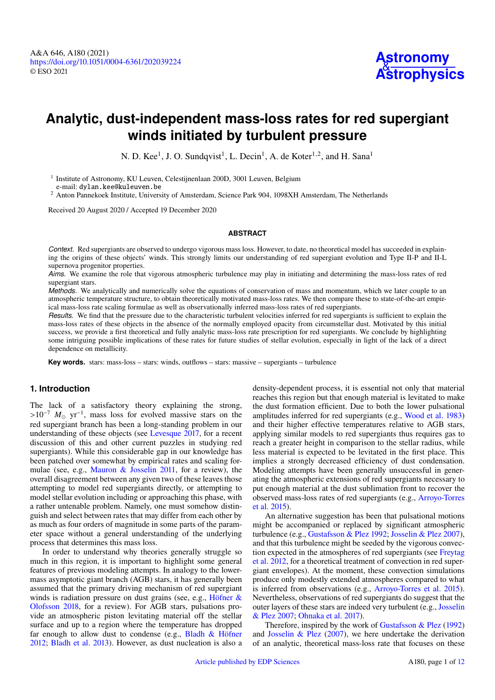# **Analytic, dust-independent mass-loss rates for red supergiant winds initiated by turbulent pressure**

N. D. Kee<sup>[1](#page-1-0)</sup>, J. O. Sundqvist<sup>1</sup>, L. Decin<sup>1</sup>, A. de Koter<sup>1[,2](#page-1-1)</sup>, and H. Sana<sup>1</sup>

<span id="page-1-0"></span><sup>1</sup> Institute of Astronomy, KU Leuven, Celestijnenlaan 200D, 3001 Leuven, Belgium

e-mail: [dylan.kee@kuleuven.be](mailto:dylan.kee@kuleuven.be)

<span id="page-1-1"></span><sup>2</sup> Anton Pannekoek Institute, University of Amsterdam, Science Park 904, 1098XH Amsterdam, The Netherlands

Received 20 August 2020 / Accepted 19 December 2020

#### **ABSTRACT**

*Context.* Red supergiants are observed to undergo vigorous mass loss. However, to date, no theoretical model has succeeded in explaining the origins of these objects' winds. This strongly limits our understanding of red supergiant evolution and Type II-P and II-L supernova progenitor properties.

*Aims.* We examine the role that vigorous atmospheric turbulence may play in initiating and determining the mass-loss rates of red supergiant stars.

*Methods.* We analytically and numerically solve the equations of conservation of mass and momentum, which we later couple to an atmospheric temperature structure, to obtain theoretically motivated mass-loss rates. We then compare these to state-of-the-art empirical mass-loss rate scaling formulae as well as observationally inferred mass-loss rates of red supergiants.

*Results.* We find that the pressure due to the characteristic turbulent velocities inferred for red supergiants is sufficient to explain the mass-loss rates of these objects in the absence of the normally employed opacity from circumstellar dust. Motivated by this initial success, we provide a first theoretical and fully analytic mass-loss rate prescription for red supergiants. We conclude by highlighting some intriguing possible implications of these rates for future studies of stellar evolution, especially in light of the lack of a direct dependence on metallicity.

**Key words.** stars: mass-loss – stars: winds, outflows – stars: massive – supergiants – turbulence

## **1. Introduction**

The lack of a satisfactory theory explaining the strong,  $>10^{-7}$   $M_{\odot}$  yr<sup>-1</sup>, mass loss for evolved massive stars on the red superviant branch has been a long-standing problem in our red supergiant branch has been a long-standing problem in our understanding of these objects (see [Levesque](#page-11-0) [2017,](#page-11-0) for a recent discussion of this and other current puzzles in studying red supergiants). While this considerable gap in our knowledge has been patched over somewhat by empirical rates and scaling formulae (see, e.g., [Mauron & Josselin](#page-11-1) [2011,](#page-11-1) for a review), the overall disagreement between any given two of these leaves those attempting to model red supergiants directly, or attempting to model stellar evolution including or approaching this phase, with a rather untenable problem. Namely, one must somehow distinguish and select between rates that may differ from each other by as much as four orders of magnitude in some parts of the parameter space without a general understanding of the underlying process that determines this mass loss.

In order to understand why theories generally struggle so much in this region, it is important to highlight some general features of previous modeling attempts. In analogy to the lowermass asymptotic giant branch (AGB) stars, it has generally been assumed that the primary driving mechanism of red supergiant winds is radiation pressure on dust grains (see, e.g., [Höfner &](#page-11-2) [Olofsson](#page-11-2) [2018,](#page-11-2) for a review). For AGB stars, pulsations provide an atmospheric piston levitating material off the stellar surface and up to a region where the temperature has dropped far enough to allow dust to condense (e.g., [Bladh & Höfner](#page-11-3) [2012;](#page-11-3) [Bladh et al.](#page-11-4) [2013\)](#page-11-4). However, as dust nucleation is also a density-dependent process, it is essential not only that material reaches this region but that enough material is levitated to make the dust formation efficient. Due to both the lower pulsational amplitudes inferred for red supergiants (e.g., [Wood et al.](#page-11-5) [1983\)](#page-11-5) and their higher effective temperatures relative to AGB stars, applying similar models to red supergiants thus requires gas to reach a greater height in comparison to the stellar radius, while less material is expected to be levitated in the first place. This implies a strongly decreased efficiency of dust condensation. Modeling attempts have been generally unsuccessful in generating the atmospheric extensions of red supergiants necessary to put enough material at the dust sublimation front to recover the observed mass-loss rates of red supergiants (e.g., [Arroyo-Torres](#page-11-6) [et al.](#page-11-6) [2015\)](#page-11-6).

An alternative suggestion has been that pulsational motions might be accompanied or replaced by significant atmospheric turbulence (e.g., [Gustafsson & Plez](#page-11-7) [1992;](#page-11-7) [Josselin & Plez](#page-11-8) [2007\)](#page-11-8), and that this turbulence might be seeded by the vigorous convection expected in the atmospheres of red supergiants (see [Freytag](#page-11-9) [et al.](#page-11-9) [2012,](#page-11-9) for a theoretical treatment of convection in red supergiant envelopes). At the moment, these convection simulations produce only modestly extended atmospheres compared to what is inferred from observations (e.g., [Arroyo-Torres et al.](#page-11-6) [2015\)](#page-11-6). Nevertheless, observations of red supergiants do suggest that the outer layers of these stars are indeed very turbulent (e.g., [Josselin](#page-11-8) [& Plez](#page-11-8) [2007;](#page-11-8) [Ohnaka et al.](#page-11-10) [2017\)](#page-11-10).

Therefore, inspired by the work of [Gustafsson & Plez](#page-11-7) [\(1992\)](#page-11-7) and [Josselin & Plez](#page-11-8) [\(2007\)](#page-11-8), we here undertake the derivation of an analytic, theoretical mass-loss rate that focuses on these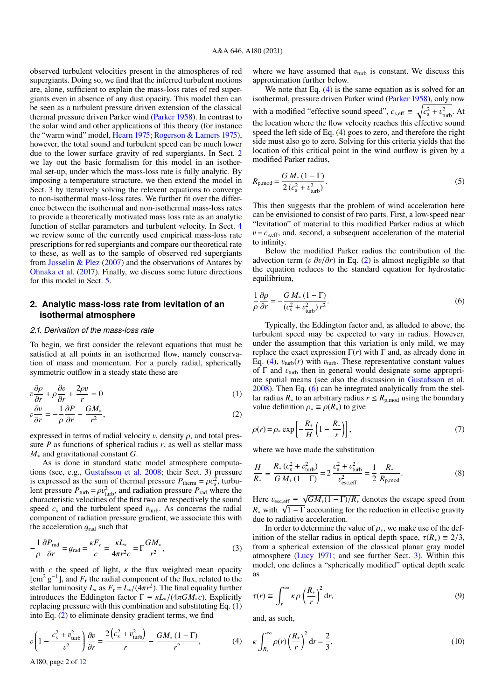observed turbulent velocities present in the atmospheres of red supergiants. Doing so, we find that the inferred turbulent motions are, alone, sufficient to explain the mass-loss rates of red supergiants even in absence of any dust opacity. This model then can be seen as a turbulent pressure driven extension of the classical thermal pressure driven Parker wind [\(Parker](#page-11-11) [1958\)](#page-11-11). In contrast to the solar wind and other applications of this theory (for instance the "warm wind" model, [Hearn](#page-11-12) [1975;](#page-11-12) [Rogerson & Lamers](#page-11-13) [1975\)](#page-11-13), however, the total sound and turbulent speed can be much lower due to the lower surface gravity of red supergiants. In Sect. [2](#page-2-0) we lay out the basic formalism for this model in an isothermal set-up, under which the mass-loss rate is fully analytic. By imposing a temperature structure, we then extend the model in Sect. [3](#page-5-0) by iteratively solving the relevent equations to converge to non-isothermal mass-loss rates. We further fit over the difference between the isothermal and non-isothermal mass-loss rates to provide a theoretically motivated mass loss rate as an analytic function of stellar parameters and turbulent velocity. In Sect. [4](#page-7-0) we review some of the currently used empirical mass-loss rate prescriptions for red supergiants and compare our theoretical rate to these, as well as to the sample of observed red supergiants from [Josselin & Plez](#page-11-8)  $(2007)$  and the observations of Antares by [Ohnaka et al.](#page-11-10) [\(2017\)](#page-11-10). Finally, we discuss some future directions for this model in Sect. [5.](#page-9-0)

# <span id="page-2-0"></span>**2. Analytic mass-loss rate from levitation of an isothermal atmosphere**

#### <span id="page-2-8"></span>*2.1. Derivation of the mass-loss rate*

To begin, we first consider the relevant equations that must be satisfied at all points in an isothermal flow, namely conservation of mass and momentum. For a purely radial, spherically symmetric outflow in a steady state these are

$$
v\frac{\partial \rho}{\partial r} + \rho \frac{\partial v}{\partial r} + \frac{2\rho v}{r} = 0
$$
  
\n
$$
\frac{\partial v}{\partial r} + \frac{2\rho v}{r} = 0
$$
 (1)

$$
v\frac{\partial v}{\partial r} = -\frac{1}{\rho}\frac{\partial P}{\partial r} - \frac{GM_*}{r^2},\tag{2}
$$

expressed in terms of radial velocity v, density  $\rho$ , and total pressure *P* as functions of spherical radius *r*, as well as stellar mass *M*<sup>∗</sup> and gravitational constant *G*.

As is done in standard static model atmosphere computations (see, e.g., [Gustafsson et al.](#page-11-14) [2008;](#page-11-14) their Sect. 3) pressure is expressed as the sum of thermal pressure  $P_{\text{therm}} = \rho c_s^2$ , turbu-<br>lent pressure  $P_{\text{max}} = \rho v^2$ , and radiation pressure  $P_{\text{max}}$  where the lent pressure  $P_{\text{turb}} = \rho v_{\text{turb}}^2$ , and radiation pressure  $P_{\text{rad}}$  where the characteristic velocities of the first two are respectively the sound characteristic velocities of the first two are respectively the sound speed  $c_s$  and the turbulent speed  $v_{\text{turb}}$ . As concerns the radial component of radiation pressure gradient, we associate this with the acceleration  $g_{\text{rad}}$  such that

<span id="page-2-11"></span>
$$
-\frac{1}{\rho}\frac{\partial P_{\text{rad}}}{\partial r} = g_{\text{rad}} = \frac{\kappa F_r}{c} = \frac{\kappa L_*}{4\pi r^2 c} = \Gamma \frac{GM_*}{r^2},\tag{3}
$$

with  $c$  the speed of light,  $\kappa$  the flux weighted mean opacity  $[\text{cm}^2 \text{ g}^{-1}]$ , and  $F_r$  the radial component of the flux, related to the stellar luminosity *L*<sub>∗</sub> as  $F_r = L_*/(4\pi r^2)$ . The final equality further introduces the Eddington factor  $\Gamma = \kappa L_*/(4\pi GM_c c)$ . Explicitly introduces the Eddington factor  $\Gamma = \kappa L_*/(4\pi G M_* c)$ . Explicitly replacing pressure with this combination and substituting Eq. [\(1\)](#page-2-1) into Eq. [\(2\)](#page-2-2) to eliminate density gradient terms, we find

$$
v \left( 1 - \frac{c_s^2 + v_{\text{turb}}^2}{v^2} \right) \frac{\partial v}{\partial r} = \frac{2 \left( c_s^2 + v_{\text{turb}}^2 \right)}{r} - \frac{GM_* \left( 1 - \Gamma \right)}{r^2},\tag{4}
$$

where we have assumed that  $v_{\text{turb}}$  is constant. We discuss this approximation further below.

We note that Eq. [\(4\)](#page-2-3) is the same equation as is solved for an isothermal, pressure driven Parker wind [\(Parker](#page-11-11) [1958\)](#page-11-11), only now with a modified "effective sound speed",  $c_{s,eff} \equiv \sqrt{c_s^2 + v_{turb}^2}$ . At the location where the flow velocity reaches this effective sound speed the left side of Eq. [\(4\)](#page-2-3) goes to zero, and therefore the right side must also go to zero. Solving for this criteria yields that the location of this critical point in the wind outflow is given by a modified Parker radius,

<span id="page-2-10"></span>
$$
R_{\text{p,mod}} = \frac{G M_{*} (1 - \Gamma)}{2 (c_{s}^{2} + v_{\text{turb}}^{2})}.
$$
\n(5)

This then suggests that the problem of wind acceleration here can be envisioned to consist of two parts. First, a low-speed near "levitation" of material to this modified Parker radius at which  $v = c_{\text{self}}$ , and, second, a subsequent acceleration of the material to infinity.

Below the modified Parker radius the contribution of the advection term (v  $\partial v/\partial r$ ) in Eq. [\(2\)](#page-2-2) is almost negligible so that the equation reduces to the standard equation for hydrostatic equilibrium,

<span id="page-2-4"></span>
$$
\frac{1}{\rho} \frac{\partial \rho}{\partial r} = -\frac{G M_* (1 - \Gamma)}{(c_s^2 + v_{\text{turb}}^2) r^2}.
$$
\n
$$
(6)
$$

Typically, the Eddington factor and, as alluded to above, the turbulent speed may be expected to vary in radius. However, under the assumption that this variation is only mild, we may replace the exact expression  $Γ(r)$  with Γ and, as already done in Eq. [\(4\)](#page-2-3),  $v_{\text{turb}}(r)$  with  $v_{\text{turb}}$ . These representative constant values of  $\Gamma$  and  $v_{\text{turb}}$  then in general would designate some appropriate spatial means (see also the discussion in [Gustafsson et al.](#page-11-14) [2008\)](#page-11-14). Then Eq. [\(6\)](#page-2-4) can be integrated analytically from the stellar radius  $R_*$  to an arbitrary radius  $r \le R_{p,\text{mod}}$  using the boundary value definition  $\rho_* \equiv \rho(R_*)$  to give

<span id="page-2-5"></span><span id="page-2-2"></span><span id="page-2-1"></span>
$$
\rho(r) = \rho_* \exp\left[-\frac{R_*}{H}\left(1 - \frac{R_*}{r}\right)\right],\tag{7}
$$

<span id="page-2-7"></span>where we have made the substitution

$$
\frac{H}{R_*} \equiv \frac{R_* (c_s^2 + v_{\text{turb}}^2)}{G M_* (1 - \Gamma)} = 2 \frac{c_s^2 + v_{\text{turb}}^2}{v_{\text{esc,eff}}^2} = \frac{1}{2} \frac{R_*}{R_{p,\text{mod}}}.
$$
\n(8)

Here  $v_{\text{esc,eff}} \equiv \sqrt{GM_*(1-\Gamma)/R_*}$  denotes the escape speed from  $P$ , with  $\sqrt{1-\Gamma}$  accounting for the reduction in affective gravity **Properties**  $v_{\text{esc,eff}} = \sqrt{GM_*(1-1)/K_*}$  denotes the escape speed from  $R_*$  with  $\sqrt{1-\Gamma}$  accounting for the reduction in effective gravity due to radiative acceleration.

In order to determine the value of  $\rho_*$ , we make use of the definition of the stellar radius in optical depth space,  $\tau(R_*) = 2/3$ , from a spherical extension of the classical planar gray model atmosphere [\(Lucy](#page-11-15) [1971;](#page-11-15) and see further Sect. [3\)](#page-5-0). Within this model, one defines a "spherically modified" optical depth scale as

<span id="page-2-6"></span>
$$
\tau(r) \equiv \int_{r}^{\infty} \kappa \rho \left(\frac{R_{*}}{r}\right)^{2} dr, \tag{9}
$$

<span id="page-2-9"></span><span id="page-2-3"></span>and, as such,

$$
\kappa \int_{R_*}^{\infty} \rho(r) \left(\frac{R_*}{r}\right)^2 dr = \frac{2}{3},\qquad(10)
$$

A180, page 2 of [12](#page-12-0)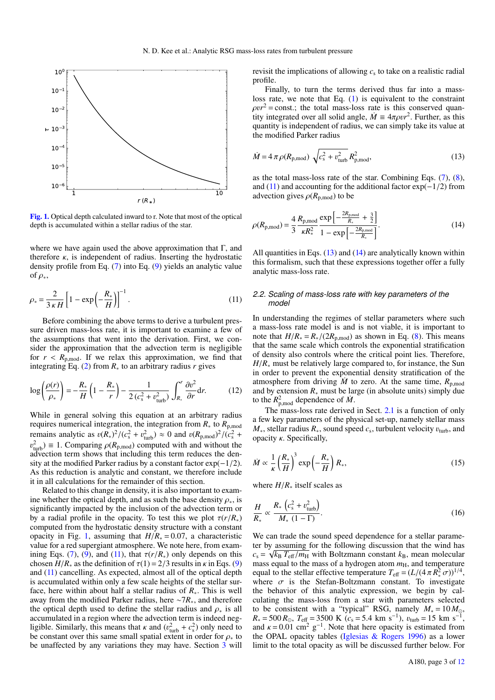

<span id="page-3-0"></span>[Fig. 1.](http://dexter.edpsciences.org/applet.php?DOI=10.1051/0004-6361/202039224&pdf_id=0) Optical depth calculated inward to r. Note that most of the optical depth is accumulated within a stellar radius of the star.

where we have again used the above approximation that  $\Gamma$ , and therefore  $\kappa$ , is independent of radius. Inserting the hydrostatic density profile from Eq. [\(7\)](#page-2-5) into Eq. [\(9\)](#page-2-6) yields an analytic value of  $\rho_*,$ 

<span id="page-3-1"></span>
$$
\rho_* = \frac{2}{3 \kappa H} \left[ 1 - \exp\left(-\frac{R_*}{H}\right) \right]^{-1} . \tag{11}
$$

Before combining the above terms to derive a turbulent pressure driven mass-loss rate, it is important to examine a few of the assumptions that went into the derivation. First, we consider the approximation that the advection term is negligible for  $r < R_{p,\text{mod}}$ . If we relax this approximation, we find that integrating Eq. [\(2\)](#page-2-2) from  $R_*$  to an arbitrary radius  $r$  gives

$$
\log\left(\frac{\rho(r)}{\rho_*}\right) = -\frac{R_*}{H}\left(1 - \frac{R_*}{r}\right) - \frac{1}{2\left(c_s^2 + v_{\text{turb}}^2\right)} \int_{R_*}^r \frac{\partial v^2}{\partial r} dr. \tag{12}
$$

While in general solving this equation at an arbitrary radius requires numerical integration, the integration from  $R_*$  to  $R_{p,\text{mod}}$ remains analytic as  $v(R_*)^2/(c_s^2 + v_{\text{turb}}^2) \approx 0$  and  $v(R_{p,\text{mod}})^2/(c_s^2 + v_{\text{turb}}^2) = 1$ . Comparing  $o(R_*)$  computed with and without the  $\frac{v_{\text{turb}}}{v_{\text{turb}}}$  advection term shows that including this term reduces the den $t_{\text{turb}}^2$ ) ≡ 1. Comparing  $\rho(R_{p,\text{mod}})$  computed with and without the dvection term shows that including this term reduces the density at the modified Parker radius by a constant factor  $exp(-1/2)$ . As this reduction is analytic and constant, we therefore include it in all calculations for the remainder of this section.

Related to this change in density, it is also important to examine whether the optical depth, and as such the base density  $\rho_*$ , is significantly impacted by the inclusion of the advection term or by a radial profile in the opacity. To test this we plot  $\tau(r/R_*)$ computed from the hydrostatic density structure with a constant opacity in Fig. [1,](#page-3-0) assuming that  $H/R_* = 0.07$ , a characteristic value for a red supergiant atmosphere. We note here, from exam-ining Eqs. [\(7\)](#page-2-5), [\(9\)](#page-2-6), and [\(11\)](#page-3-1), that  $\tau(r/R_*)$  only depends on this chosen  $H/R_*$  as the definition of  $\tau(1) = 2/3$  results in  $\kappa$  in Eqs. [\(9\)](#page-2-6) and [\(11\)](#page-3-1) cancelling. As expected, almost all of the optical depth is accumulated within only a few scale heights of the stellar surface, here within about half a stellar radius of *R*∗. This is well away from the modified Parker radius, here ∼7*R*∗, and therefore the optical depth used to define the stellar radius and  $\rho_*$  is all accumulated in a region where the advection term is indeed negligible. Similarly, this means that  $\kappa$  and  $(v_{\text{turb}}^2 + c_s^2)$  only need to be constant over this same small spatial extent in order for  $\alpha$ , to be constant over this same small spatial extent in order for  $\rho_*$  to be unaffected by any variations they may have. Section [3](#page-5-0) will revisit the implications of allowing  $c<sub>s</sub>$  to take on a realistic radial profile.

Finally, to turn the terms derived thus far into a massloss rate, we note that Eq. [\(1\)](#page-2-1) is equivalent to the constraint  $\rho v r^2$  = const.; the total mass-loss rate is this conserved quantity integrated over all solid angle.  $\dot{M} \equiv 4\pi \omega v r^2$ . Further, as this tity integrated over all solid angle,  $\dot{M} \equiv 4\pi \rho v r^2$ . Further, as this quantity is independent of radius we can simply take its value at quantity is independent of radius, we can simply take its value at the modified Parker radius

<span id="page-3-2"></span>
$$
\dot{M} = 4 \pi \rho (R_{p,\text{mod}}) \sqrt{c_s^2 + v_{\text{turb}}^2} R_{p,\text{mod}}^2,
$$
\n(13)

<span id="page-3-3"></span>as the total mass-loss rate of the star. Combining Eqs. [\(7\)](#page-2-5), [\(8\)](#page-2-7), and [\(11\)](#page-3-1) and accounting for the additional factor  $exp(-1/2)$  from advection gives  $\rho(R_{p \mod{p}})$  to be

$$
\rho(R_{p,\text{mod}}) = \frac{4}{3} \frac{R_{p,\text{mod}}}{\kappa R_*^2} \frac{\exp\left[-\frac{2R_{p,\text{mod}}}{R_*} + \frac{3}{2}\right]}{1 - \exp\left[-\frac{2R_{p,\text{mod}}}{R_*}\right]}.
$$
(14)

All quantities in Eqs. [\(13\)](#page-3-2) and [\(14\)](#page-3-3) are analytically known within this formalism, such that these expressions together offer a fully analytic mass-loss rate.

## <span id="page-3-5"></span>*2.2. Scaling of mass-loss rate with key parameters of the model*

In understanding the regimes of stellar parameters where such a mass-loss rate model is and is not viable, it is important to note that  $H/R_* = R_*/(2R_{p,\text{mod}})$  as shown in Eq. [\(8\)](#page-2-7). This means that the same scale which controls the exponential stratification of density also controls where the critical point lies. Therefore, *H*/*R*<sup>∗</sup> must be relatively large compared to, for instance, the Sun in order to prevent the exponential density stratification of the atmosphere from driving  $\dot{M}$  to zero. At the same time,  $R_{p,\text{mod}}$ and by extension  $R_*$  must be large (in absolute units) simply due to the  $R_{\text{p,mod}}^2$  dependence of  $\dot{M}$ .<br>The mass loss rate derived

The mass-loss rate derived in Sect. [2.1](#page-2-8) is a function of only a few key parameters of the physical set-up, namely stellar mass *M*<sub>∗</sub>, stellar radius *R*<sub>∗</sub>, sound speed *c*<sub>s</sub>, turbulent velocity *v*<sub>turb</sub>, and opacity *κ*. Specifically opacity  $κ$ . Specifically,

<span id="page-3-4"></span>
$$
\dot{M} \propto \frac{1}{\kappa} \left(\frac{R_*}{H}\right)^3 \exp\left(-\frac{R_*}{H}\right) R_*,\tag{15}
$$

where *<sup>H</sup>*/*R*<sup>∗</sup> itself scales as

$$
\frac{H}{R_*} \propto \frac{R_* \left( c_s^2 + v_{\text{turb}}^2 \right)}{M_* \left( 1 - \Gamma \right)}.
$$
\n(16)

We can trade the sound speed dependence for a stellar parameter by assuming for the following discussion that the wind has  $c_s = \sqrt{k_B T_{\text{eff}}/m_H}$  with Boltzmann constant  $k_B$ , mean molecular mass equal to the mass of a hydrogen atom  $m_H$  and temperature mass equal to the mass of a hydrogen atom  $m<sub>H</sub>$ , and temperature equal to the stellar effective temperature  $T_{\text{eff}} = (L/(4 \pi R_{*}^{2} \sigma))^{1/4}$ ,<br>where  $\sigma$  is the Stefan-Boltzmann constant. To investigate where  $\sigma$  is the Stefan-Boltzmann constant. To investigate the behavior of this analytic expression, we begin by calculating the mass-loss from a star with parameters selected to be consistent with a "typical" RSG, namely  $M_* = 10 M_{\odot}$ ,  $R_* = 500 R_\odot$ ,  $T_{\text{eff}} = 3500 \text{ K}$   $(c_s = 5.4 \text{ km s}^{-1})$ ,  $v_{\text{turb}} = 15 \text{ km s}^{-1}$ ,<br>and  $\kappa = 0.01 \text{ cm}^2$   $\sigma^{-1}$ . Note that here opacity is estimated from and  $\kappa = 0.01$  cm<sup>2</sup> g<sup>-1</sup>. Note that here opacity is estimated from<br>the OPAL opacity tables (Jolesias & Rogers 1996) as a lower the OPAL opacity tables [\(Iglesias & Rogers](#page-11-16) [1996\)](#page-11-16) as a lower limit to the total opacity as will be discussed further below. For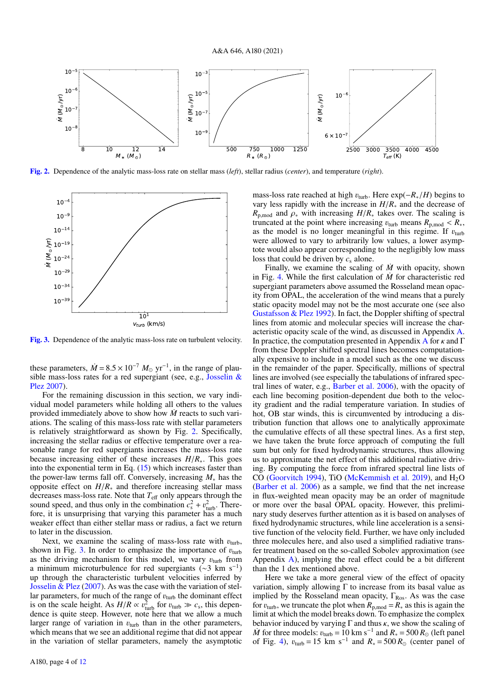

<span id="page-4-0"></span>[Fig. 2.](http://dexter.edpsciences.org/applet.php?DOI=10.1051/0004-6361/202039224&pdf_id=0) Dependence of the analytic mass-loss rate on stellar mass (*left*), stellar radius (*center*), and temperature (*right*).



<span id="page-4-1"></span>[Fig. 3.](http://dexter.edpsciences.org/applet.php?DOI=10.1051/0004-6361/202039224&pdf_id=0) Dependence of the analytic mass-loss rate on turbulent velocity.

these parameters,  $\dot{M} = 8.5 \times 10^{-7} M_{\odot} \text{ yr}^{-1}$ , in the range of plausible mass-loss rates for a red superviant (see e.g. losselin & sible mass-loss rates for a red supergiant (see, e.g., [Josselin &](#page-11-8) [Plez](#page-11-8) [2007\)](#page-11-8).

For the remaining discussion in this section, we vary individual model parameters while holding all others to the values provided immediately above to show how *M*˙ reacts to such variations. The scaling of this mass-loss rate with stellar parameters is relatively straightforward as shown by Fig. [2.](#page-4-0) Specifically, increasing the stellar radius or effective temperature over a reasonable range for red supergiants increases the mass-loss rate because increasing either of these increases *<sup>H</sup>*/*R*∗. This goes into the exponential term in Eq. [\(15\)](#page-3-4) which increases faster than the power-law terms fall off. Conversely, increasing *M*<sup>∗</sup> has the opposite effect on *<sup>H</sup>*/*R*<sup>∗</sup> and therefore increasing stellar mass decreases mass-loss rate. Note that  $T_{\text{eff}}$  only appears through the sound speed, and thus only in the combination  $c_s^2 + v_{\text{turb}}^2$ . There-<br>fore it is unsurprising that varying this parameter has a much fore, it is unsurprising that varying this parameter has a much weaker effect than either stellar mass or radius, a fact we return to later in the discussion.

Next, we examine the scaling of mass-loss rate with  $v_{\text{turb}}$ , shown in Fig. [3.](#page-4-1) In order to emphasize the importance of  $v_{\text{turb}}$ as the driving mechanism for this model, we vary  $v_{\text{turb}}$  from a minimum microturbulence for red supergiants (∼3 km s<sup>−</sup><sup>1</sup> ) up through the characteristic turbulent velocities inferred by [Josselin & Plez](#page-11-8) [\(2007\)](#page-11-8). As was the case with the variation of stellar parameters, for much of the range of  $v_{\text{turb}}$  the dominant effect is on the scale height. As  $H/R \propto v_{\text{turb}}^2$  for  $v_{\text{turb}} \gg c_s$ , this depen-<br>dence is quite steep. However, note here that we allow a much dence is quite steep. However, note here that we allow a much larger range of variation in  $v_{\text{turb}}$  than in the other parameters, which means that we see an additional regime that did not appear in the variation of stellar parameters, namely the asymptotic mass-loss rate reached at high  $v_{\text{turb}}$ . Here  $\exp(-R_*/H)$  begins to vary less rapidly with the increase in *<sup>H</sup>*/*R*<sup>∗</sup> and the decrease of  $R_{p,\text{mod}}$  and  $\rho_*$  with increasing  $H/R_*$  takes over. The scaling is truncated at the point where increasing  $v_{\text{turb}}$  means  $R_{p,\text{mod}} < R_*$ , as the model is no longer meaningful in this regime. If  $v_{\text{turb}}$ were allowed to vary to arbitrarily low values, a lower asymptote would also appear corresponding to the negligibly low mass loss that could be driven by  $c_s$  alone.

Finally, we examine the scaling of  $\dot{M}$  with opacity, shown in Fig. [4.](#page-5-1) While the first calculation of *M*˙ for characteristic red supergiant parameters above assumed the Rosseland mean opacity from OPAL, the acceleration of the wind means that a purely static opacity model may not be the most accurate one (see also [Gustafsson & Plez](#page-11-7) [1992\)](#page-11-7). In fact, the Doppler shifting of spectral lines from atomic and molecular species will increase the characteristic opacity scale of the wind, as discussed in Appendix [A.](#page-12-1) In practice, the computation presented in [A](#page-12-1)ppendix A for  $\kappa$  and  $\Gamma$ from these Doppler shifted spectral lines becomes computationally expensive to include in a model such as the one we discuss in the remainder of the paper. Specifically, millions of spectral lines are involved (see especially the tabulations of infrared spectral lines of water, e.g., [Barber et al.](#page-11-17) [2006\)](#page-11-17), with the opacity of each line becoming position-dependent due both to the velocity gradient and the radial temperature variation. In studies of hot, OB star winds, this is circumvented by introducing a distribution function that allows one to analytically approximate the cumulative effects of all these spectral lines. As a first step, we have taken the brute force approach of computing the full sum but only for fixed hydrodynamic structures, thus allowing us to approximate the net effect of this additional radiative driving. By computing the force from infrared spectral line lists of CO [\(Goorvitch](#page-11-18) [1994\)](#page-11-18), TiO [\(McKemmish et al.](#page-11-19) [2019\)](#page-11-19), and  $H_2O$ [\(Barber et al.](#page-11-17) [2006\)](#page-11-17) as a sample, we find that the net increase in flux-weighted mean opacity may be an order of magnitude or more over the basal OPAL opacity. However, this preliminary study deserves further attention as it is based on analyses of fixed hydrodynamic structures, while line acceleration is a sensitive function of the velocity field. Further, we have only included three molecules here, and also used a simplified radiative transfer treatment based on the so-called Sobolev approximation (see Appendix [A\)](#page-12-1), implying the real effect could be a bit different than the 1 dex mentioned above.

Here we take a more general view of the effect of opacity variation, simply allowing  $\Gamma$  to increase from its basal value as implied by the Rosseland mean opacity,  $\Gamma_{\text{Ros}}$ . As was the case for  $v_{\text{turb}}$ , we truncate the plot when  $R_{p,\text{mod}} = R_*$  as this is again the limit at which the model breaks down. To emphasize the complex behavior induced by varying  $\Gamma$  and thus  $\kappa$ , we show the scaling of *M* for three models:  $v_{\text{turb}} = 10 \text{ km s}^{-1}$  and  $R_* = 500 R_{\odot}$  (left panel<br>of Fig. 4)  $v_{\text{turb}} = 15 \text{ km s}^{-1}$  and  $R_* = 500 R_{\odot}$  (center panel of of Fig. [4\)](#page-5-1),  $v_{\text{turb}} = 15 \text{ km s}^{-1}$  and  $R_* = 500 R_{\odot}$  (center panel of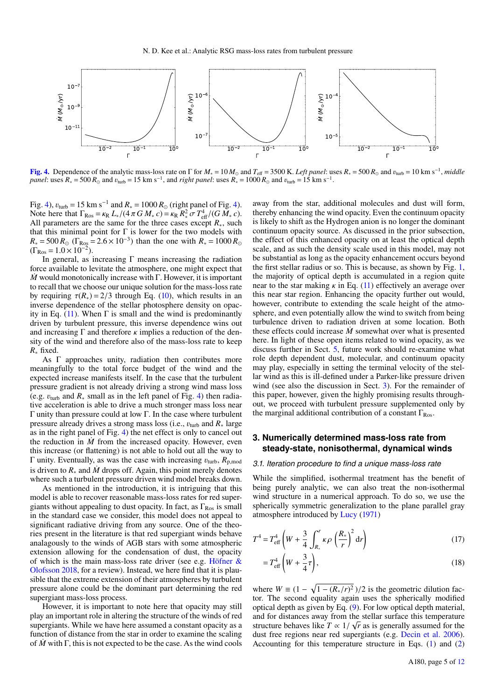

<span id="page-5-1"></span>[Fig. 4.](http://dexter.edpsciences.org/applet.php?DOI=10.1051/0004-6361/202039224&pdf_id=0) Dependence of the analytic mass-loss rate on  $\Gamma$  for  $M_* = 10 M_{\odot}$  and  $T_{\text{eff}} = 3500 \text{ K}$ . *Left panel*: uses  $R_* = 500 R_{\odot}$  and  $v_{\text{turb}} = 10 \text{ km s}^{-1}$ , *middle*<br>*nanel*: uses  $R = 500 R_{\odot}$  and  $v_{\text{turb}} = 1$ *panel*: uses  $R_* = 500 R_{\odot}$  and  $v_{\text{turb}} = 15 \text{ km s}^{-1}$ , and *right panel*: uses  $R_* = 1000 R_{\odot}$  and  $v_{\text{turb}} = 15 \text{ km s}^{-1}$ .

Fig. [4\)](#page-5-1),  $v_{\text{turb}} = 15 \text{ km s}^{-1}$  and  $R_* = 1000 R_{\odot}$  (right panel of Fig. 4).<br>Note here that  $\Gamma_{\text{Boc}} = \kappa_{\text{B}} I_{\text{c}}/(4 \pi G M_{\odot} c) = \kappa_{\text{B}} R^2 \sigma T^4 / (G M_{\odot} c)$ . Note here that  $\Gamma_{\text{Ros}} = \kappa_R L_*/(4 \pi G M_* c) = \kappa_R R_*^2 \sigma T_{\text{eff}}^4/(G M_* c)$ .<br>All parameters are the same for the three cases except R, such All parameters are the same for the three cases except *R*∗, such that this minimal point for  $\Gamma$  is lower for the two models with  $R_* = 500 R_{\odot}$  ( $\Gamma_{\text{Ros}} = 2.6 \times 10^{-3}$ ) than the one with  $R_* = 1000 R_{\odot}$ <br>( $\Gamma_{\text{Box}} = 1.0 \times 10^{-2}$ )  $(\Gamma_{\text{Ros}} = 1.0 \times 10^{-2})$ .<br>In general as i

In general, as increasing  $\Gamma$  means increasing the radiation force available to levitate the atmosphere, one might expect that  $\dot{M}$  would monotonically increase with Γ. However, it is important to recall that we choose our unique solution for the mass-loss rate by requiring  $\tau(R_*) = 2/3$  through Eq. [\(10\)](#page-2-9), which results in an inverse dependence of the stellar photosphere density on opacity in Eq.  $(11)$ . When  $\Gamma$  is small and the wind is predominantly driven by turbulent pressure, this inverse dependence wins out and increasing  $\Gamma$  and therefore  $\kappa$  implies a reduction of the density of the wind and therefore also of the mass-loss rate to keep *R*<sup>∗</sup> fixed.

As Γ approaches unity, radiation then contributes more meaningfully to the total force budget of the wind and the expected increase manifests itself. In the case that the turbulent pressure gradient is not already driving a strong wind mass loss (e.g.  $v_{\text{turb}}$  and  $R_*$  small as in the left panel of Fig. [4\)](#page-5-1) then radiative acceleration is able to drive a much stronger mass loss near Γ unity than pressure could at low Γ. In the case where turbulent pressure already drives a strong mass loss (i.e.,  $v_{\text{turb}}$  and  $R_*$  large as in the right panel of Fig. [4\)](#page-5-1) the net effect is only to cancel out the reduction in  $\dot{M}$  from the increased opacity. However, even this increase (or flattening) is not able to hold out all the way to Γ unity. Eventually, as was the case with increasing  $v_{\text{turb}}$ ,  $R_{p,\text{mod}}$ is driven to  $R_*$  and  $\dot{M}$  drops off. Again, this point merely denotes where such a turbulent pressure driven wind model breaks down.

As mentioned in the introduction, it is intriguing that this model is able to recover reasonable mass-loss rates for red supergiants without appealing to dust opacity. In fact, as  $\Gamma_{\rm Ros}$  is small in the standard case we consider, this model does not appeal to significant radiative driving from any source. One of the theories present in the literature is that red supergiant winds behave analagously to the winds of AGB stars with some atmospheric extension allowing for the condensation of dust, the opacity of which is the main mass-loss rate driver (see e.g. Höfner  $\&$ [Olofsson](#page-11-2) [2018,](#page-11-2) for a review). Instead, we here find that it is plausible that the extreme extension of their atmospheres by turbulent pressure alone could be the dominant part determining the red supergiant mass-loss process.

However, it is important to note here that opacity may still play an important role in altering the structure of the winds of red supergiants. While we have here assumed a constant opacity as a function of distance from the star in order to examine the scaling of *M*˙ with Γ, this is not expected to be the case. As the wind cools

away from the star, additional molecules and dust will form, thereby enhancing the wind opacity. Even the continuum opacity is likely to shift as the Hydrogen anion is no longer the dominant continuum opacity source. As discussed in the prior subsection, the effect of this enhanced opacity on at least the optical depth scale, and as such the density scale used in this model, may not be substantial as long as the opacity enhancement occurs beyond the first stellar radius or so. This is because, as shown by Fig. [1,](#page-3-0) the majority of optical depth is accumulated in a region quite near to the star making  $\kappa$  in Eq. [\(11\)](#page-3-1) effectively an average over this near star region. Enhancing the opacity further out would, however, contribute to extending the scale height of the atmosphere, and even potentially allow the wind to switch from being turbulence driven to radiation driven at some location. Both these effects could increase  $\dot{M}$  somewhat over what is presented here. In light of these open items related to wind opacity, as we discuss further in Sect. [5,](#page-9-0) future work should re-examine what role depth dependent dust, molecular, and continuum opacity may play, especially in setting the terminal velocity of the stellar wind as this is ill-defined under a Parker-like pressure driven wind (see also the discussion in Sect. [3\)](#page-5-0). For the remainder of this paper, however, given the highly promising results throughout, we proceed with turbulent pressure supplemented only by the marginal additional contribution of a constant  $\Gamma_{\rm Ros}$ .

## <span id="page-5-0"></span>**3. Numerically determined mass-loss rate from steady-state, nonisothermal, dynamical winds**

#### <span id="page-5-3"></span>*3.1. Iteration procedure to find a unique mass-loss rate*

While the simplified, isothermal treatment has the benefit of being purely analytic, we can also treat the non-isothermal wind structure in a numerical approach. To do so, we use the spherically symmetric generalization to the plane parallel gray atmosphere introduced by [Lucy](#page-11-15) [\(1971\)](#page-11-15)

$$
T^{4} = T_{\text{eff}}^{4} \left( W + \frac{3}{4} \int_{R_{*}}^{r} \kappa \rho \left( \frac{R_{*}}{r} \right)^{2} dr \right)
$$
 (17)

<span id="page-5-2"></span>
$$
=T_{\text{eff}}^4\left(W+\frac{3}{4}\tau\right),\tag{18}
$$

where  $W = (1 - \sqrt{1 - (R_*/r)^2})/2$  is the geometric dilution factor. The second equality again uses the spherically modified tor. The second equality again uses the spherically modified optical depth as given by Eq. [\(9\)](#page-2-6). For low optical depth material, and for distances away from the stellar surface this temperature structure behaves like *T*  $\propto 1/\sqrt{r}$  as is generally assumed for the dust free regions near red supergiants (e.g. Decin et al. 2006) dust free regions near red supergiants (e.g. [Decin et al.](#page-11-20) [2006\)](#page-11-20). Accounting for this temperature structure in Eqs. [\(1\)](#page-2-1) and [\(2\)](#page-2-2)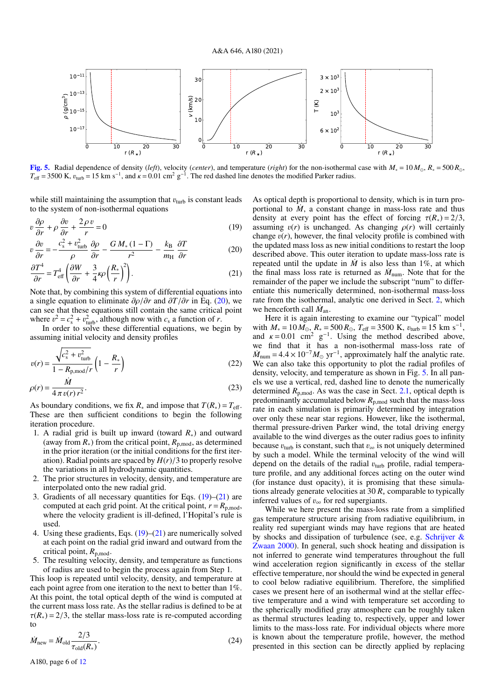

<span id="page-6-3"></span>[Fig. 5.](http://dexter.edpsciences.org/applet.php?DOI=10.1051/0004-6361/202039224&pdf_id=0) Radial dependence of density (*left*), velocity (*center*), and temperature (*right*) for the non-isothermal case with *M*<sup>∗</sup> = 10 *M*, *R*<sup>∗</sup> = 500 *R*,  $T_{\text{eff}}$  = 3500 K,  $v_{\text{turb}}$  = 15 km s<sup>-1</sup>, and  $\kappa$  = 0.01 cm<sup>2</sup> g<sup>-1</sup>. The red dashed line denotes the modified Parker radius.

while still maintaining the assumption that  $v_{\text{turb}}$  is constant leads to the system of non-isothermal equations

$$
v\frac{\partial \rho}{\partial r} + \rho \frac{\partial v}{\partial r} + \frac{2\rho v}{r} = 0
$$
\n(19)

$$
v\frac{\partial v}{\partial r} = -\frac{c_s^2 + v_{\text{turb}}^2}{\rho} \frac{\partial \rho}{\partial r} - \frac{GM_*(1-\Gamma)}{r^2} - \frac{k_B}{m_H} \frac{\partial T}{\partial r}
$$
(20)

$$
\frac{\partial T^4}{\partial r} = T_{\text{eff}}^4 \left( \frac{\partial W}{\partial r} + \frac{3}{4} \kappa \rho \left( \frac{R_*}{r} \right)^2 \right).
$$
(21)

Note that, by combining this system of differential equations into a single equation to eliminate  $\partial \rho / \partial r$  and  $\partial T / \partial r$  in Eq. [\(20\)](#page-6-0), we can see that these equations still contain the same critical point where  $v^2 = c_s^2 + v_{\text{turb}}^2$ , although now with  $c_s$  a function of *r*.<br>In order to solve these differential equations we be

In order to solve these differential equations, we begin by assuming initial velocity and density profiles

$$
v(r) = \frac{\sqrt{c_s^2 + v_{\text{turb}}^2}}{1 - R_{p,\text{mod}}/r} \left(1 - \frac{R_*}{r}\right)
$$
 (22)

$$
\rho(r) = \frac{M}{4 \pi v(r) r^2}.
$$
\n
$$
\text{As boundary conditions, we fix } R_* \text{ and impose that } T(R_*) = T_{\text{eff}}.
$$
\n
$$
\tag{23}
$$

These are then sufficient conditions to begin the following iteration procedure.

- 1. A radial grid is built up inward (toward *R*∗) and outward (away from  $R_*$ ) from the critical point,  $R_{p,\text{mod}}$ , as determined in the prior iteration (or the initial conditions for the first iteration). Radial points are spaced by  $H(r)/3$  to properly resolve the variations in all hydrodynamic quantities.
- 2. The prior structures in velocity, density, and temperature are interpolated onto the new radial grid.
- 3. Gradients of all necessary quantities for Eqs.  $(19)$ – $(21)$  are computed at each grid point. At the critical point,  $r = R_{p,\text{mod}}$ , where the velocity gradient is ill-defined, l'Hopital's rule is used.
- 4. Using these gradients, Eqs. [\(19\)](#page-6-1)–[\(21\)](#page-6-2) are numerically solved at each point on the radial grid inward and outward from the critical point, *<sup>R</sup>*<sup>p</sup>,mod.
- 5. The resulting velocity, density, and temperature as functions of radius are used to begin the process again from Step 1.

This loop is repeated until velocity, density, and temperature at each point agree from one iteration to the next to better than 1%. At this point, the total optical depth of the wind is computed at the current mass loss rate. As the stellar radius is defined to be at  $\tau(R_*) = 2/3$ , the stellar mass-loss rate is re-computed according to

$$
\dot{M}_{\text{new}} = \dot{M}_{\text{old}} \frac{2/3}{\tau_{\text{old}}(R_*)}.
$$
\n(24)

<span id="page-6-1"></span><span id="page-6-0"></span>As optical depth is proportional to density, which is in turn proportional to  $\dot{M}$ , a constant change in mass-loss rate and thus density at every point has the effect of forcing  $\tau(R_*) = 2/3$ , assuming  $v(r)$  is unchanged. As changing  $\rho(r)$  will certainly change  $v(r)$ , however, the final velocity profile is combined with the updated mass loss as new initial conditions to restart the loop described above. This outer iteration to update mass-loss rate is repeated until the update in  $\dot{M}$  is also less than 1%, at which the final mass loss rate is returned as  $\dot{M}_{\text{num}}$ . Note that for the remainder of the paper we include the subscript "num" to differentiate this numerically determined, non-isothermal mass-loss rate from the isothermal, analytic one derived in Sect. [2,](#page-2-0) which we henceforth call  $\dot{M}_{\text{an}}$ .

<span id="page-6-2"></span>Here it is again interesting to examine our "typical" model with  $M_* = 10 M_{\odot}$ ,  $R_* = 500 R_{\odot}$ ,  $T_{\text{eff}} = 3500 \text{ K}$ ,  $v_{\text{turb}} = 15 \text{ km s}^{-1}$ ,<br>and  $\kappa = 0.01 \text{ cm}^2$   $\sigma^{-1}$ . Using the method described above and  $\kappa = 0.01$  cm<sup>2</sup> g<sup>-1</sup>. Using the method described above, we find that it has a non-isothermal mass-loss rate of we find that it has a non-isothermal mass-loss rate of  $\dot{M}_{\text{num}} = 4.4 \times 10^{-7} M_{\odot} \text{ yr}^{-1}$ , approximately half the analytic rate.<br>We can also take this opportunity to plot the radial profiles of We can also take this opportunity to plot the radial profiles of density, velocity, and temperature as shown in Fig. [5.](#page-6-3) In all panels we use a vertical, red, dashed line to denote the numerically determined  $R_{p,\text{mod}}$ . As was the case in Sect. [2.1,](#page-2-8) optical depth is predominantly accumulated below  $R_{p,\text{mod}}$  such that the mass-loss rate in each simulation is primarily determined by integration over only these near star regions. However, like the isothermal, thermal pressure-driven Parker wind, the total driving energy available to the wind diverges as the outer radius goes to infinity because  $v_{\text{turb}}$  is constant, such that  $v_{\infty}$  is not uniquely determined by such a model. While the terminal velocity of the wind will depend on the details of the radial  $v<sub>turb</sub>$  profile, radial temperature profile, and any additional forces acting on the outer wind (for instance dust opacity), it is promising that these simulations already generate velocities at 30 *R*<sup>∗</sup> comparable to typically inferred values of  $v_{\infty}$  for red supergiants.

While we here present the mass-loss rate from a simplified gas temperature structure arising from radiative equilibrium, in reality red supergiant winds may have regions that are heated by shocks and dissipation of turbulence (see, e.g. [Schrijver &](#page-11-21) [Zwaan](#page-11-21) [2000\)](#page-11-21). In general, such shock heating and dissipation is not inferred to generate wind temperatures throughout the full wind acceleration region significantly in excess of the stellar effective temperature, nor should the wind be expected in general to cool below radiative equilibrium. Therefore, the simplified cases we present here of an isothermal wind at the stellar effective temperature and a wind with temperature set according to the spherically modified gray atmosphere can be roughly taken as thermal structures leading to, respectively, upper and lower limits to the mass-loss rate. For individual objects where more is known about the temperature profile, however, the method presented in this section can be directly applied by replacing

A180, page 6 of [12](#page-12-0)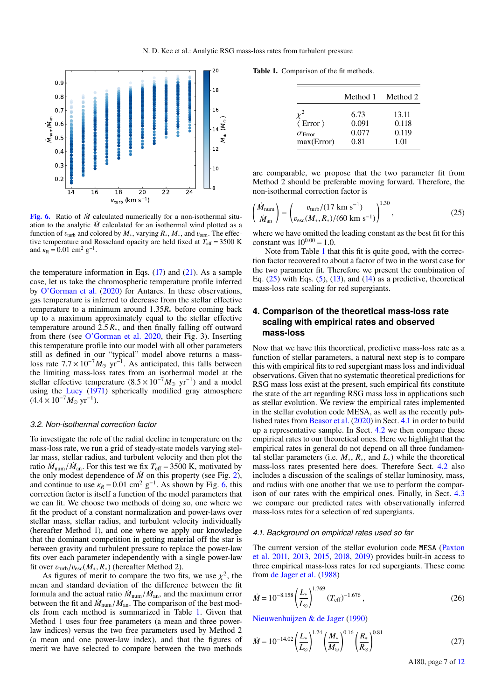

<span id="page-7-1"></span>[Fig. 6.](http://dexter.edpsciences.org/applet.php?DOI=10.1051/0004-6361/202039224&pdf_id=0) Ratio of *M* calculated numerically for a non-isothermal situation to the analytic  $\dot{M}$  calculated for an isothermal wind plotted as a function of  $v_{\text{turb}}$  and colored by  $M_*$ , varying  $R_*$ ,  $M_*$ , and  $v_{\text{turn}}$ . The effective temperature and Rosseland opacity are held fixed at  $T_{\text{eff}} = 3500 \text{ K}$ and  $\kappa_R = 0.01 \text{ cm}^2 \text{ g}^{-1}$ .

the temperature information in Eqs.  $(17)$  and  $(21)$ . As a sample case, let us take the chromospheric temperature profile inferred by [O'Gorman et al.](#page-11-22) [\(2020\)](#page-11-22) for Antares. In these observations, gas temperature is inferred to decrease from the stellar effective temperature to a minimum around <sup>1</sup>.35*R*<sup>∗</sup> before coming back up to a maximum approximately equal to the stellar effective temperature around  $2.5 R<sub>*</sub>$ , and then finally falling off outward from there (see [O'Gorman et al.](#page-11-22) [2020,](#page-11-22) their Fig. 3). Inserting this temperature profile into our model with all other parameters still as defined in our "typical" model above returns a massloss rate  $7.7 \times 10^{-7} M_{\odot}$  yr<sup>-1</sup>. As anticipated, this falls between the limiting mass-loss rates from an isothermal model at the the limiting mass-loss rates from an isothermal model at the stellar effective temperature  $(8.5 \times 10^{-7} M_{\odot} \text{ yr}^{-1})$  and a model<br>using the Lucy (1971) spherically modified gray atmosphere using the [Lucy](#page-11-15) [\(1971\)](#page-11-15) spherically modified gray atmosphere  $(4.4 \times 10^{-7} M_{\odot} \text{ yr}^{-1}).$ 

### <span id="page-7-5"></span>*3.2. Non-isothermal correction factor*

To investigate the role of the radial decline in temperature on the mass-loss rate, we run a grid of steady-state models varying stellar mass, stellar radius, and turbulent velocity and then plot the ratio  $\dot{M}_{\text{num}}/\dot{M}_{\text{an}}$ . For this test we fix  $T_{\text{eff}} = 3500 \text{ K}$ , motivated by the only modest dependence of  $\dot{M}$  on this property (see Fig. 2) the only modest dependence of  $\dot{M}$  on this property (see Fig. [2\)](#page-4-0), and continue to use  $\kappa_R = 0.01$  cm<sup>2</sup> g<sup>-1</sup>. As shown by Fig. [6,](#page-7-1) this correction factor is itself a function of the model parameters that correction factor is itself a function of the model parameters that we can fit. We choose two methods of doing so, one where we fit the product of a constant normalization and power-laws over stellar mass, stellar radius, and turbulent velocity individually (hereafter Method 1), and one where we apply our knowledge that the dominant competition in getting material off the star is between gravity and turbulent pressure to replace the power-law fits over each parameter independently with a single power-law fit over  $v_{\text{turb}}/v_{\text{esc}}(M_*, R_*)$  (hereafter Method 2).

As figures of merit to compare the two fits, we use  $\chi^2$ , the<br>an and standard deviation of the difference between the fit mean and standard deviation of the difference between the fit formula and the actual ratio  $\dot{M}_{num}/\dot{M}_{an}$ , and the maximum error<br>between the fit and  $\dot{M}_{num}/\dot{M}_{on}$ . The comparison of the best modbetween the fit and  $\dot{M}_{\text{num}}/\dot{M}_{\text{an}}$ . The comparison of the best mod-<br>els from each method is summarized in Table 1. Given that els from each method is summarized in Table [1.](#page-7-2) Given that Method 1 uses four free parameters (a mean and three powerlaw indices) versus the two free parameters used by Method 2 (a mean and one power-law index), and that the figures of merit we have selected to compare between the two methods

Table 1. Comparison of the fit methods.

<span id="page-7-2"></span>

|                                                                 | Method 1                       | Method 2                        |
|-----------------------------------------------------------------|--------------------------------|---------------------------------|
| $\langle$ Error $\rangle$<br>$\sigma_{\rm Error}$<br>max(Error) | 6.73<br>0.091<br>0.077<br>0.81 | 13.11<br>0.118<br>0.119<br>1.01 |

are comparable, we propose that the two parameter fit from Method 2 should be preferable moving forward. Therefore, the non-isothermal correction factor is

<span id="page-7-3"></span>
$$
\left(\frac{\dot{M}_{\text{num}}}{\dot{M}_{\text{an}}}\right) = \left(\frac{v_{\text{turb}}/(17 \text{ km s}^{-1})}{v_{\text{esc}}(M_*, R_*)/(60 \text{ km s}^{-1})}\right)^{1.30},\tag{25}
$$

where we have omitted the leading constant as the best fit for this constant was  $10^{0.00} = 1.0$ .

Note from Table [1](#page-7-2) that this fit is quite good, with the correction factor recovered to about a factor of two in the worst case for the two parameter fit. Therefore we present the combination of Eq.  $(25)$  with Eqs.  $(5)$ ,  $(13)$ , and  $(14)$  as a predictive, theoretical mass-loss rate scaling for red supergiants.

# <span id="page-7-0"></span>**4. Comparison of the theoretical mass-loss rate scaling with empirical rates and observed mass-loss**

Now that we have this theoretical, predictive mass-loss rate as a function of stellar parameters, a natural next step is to compare this with empirical fits to red supergiant mass loss and individual observations. Given that no systematic theoretical predictions for RSG mass loss exist at the present, such empirical fits constitute the state of the art regarding RSG mass loss in applications such as stellar evolution. We review the empirical rates implemented in the stellar evolution code MESA, as well as the recently published rates from [Beasor et al.](#page-11-23) [\(2020\)](#page-11-23) in Sect. [4.1](#page-7-4) in order to build up a representative sample. In Sect. [4.2](#page-8-0) we then compare these empirical rates to our theoretical ones. Here we highlight that the empirical rates in general do not depend on all three fundamental stellar parameters (i.e.  $M_*$ ,  $R_*$ , and  $L_*$ ) while the theoretical mass-loss rates presented here does. Therefore Sect. [4.2](#page-8-0) also includes a discussion of the scalings of stellar luminosity, mass, and radius with one another that we use to perform the comparison of our rates with the empirical ones. Finally, in Sect. [4.3](#page-8-1) we compare our predicted rates with observationally inferred mass-loss rates for a selection of red supergiants.

#### <span id="page-7-4"></span>*4.1. Background on empirical rates used so far*

The current version of the stellar evolution code MESA [\(Paxton](#page-11-24) [et al.](#page-11-24) [2011,](#page-11-24) [2013,](#page-11-25) [2015,](#page-11-26) [2018,](#page-11-27) [2019\)](#page-11-28) provides built-in access to three empirical mass-loss rates for red supergiants. These come from [de Jager et al.](#page-11-29) [\(1988\)](#page-11-29)

$$
\dot{M} = 10^{-8.158} \left(\frac{L_*}{L_{\odot}}\right)^{1.769} \left(T_{\text{eff}}\right)^{-1.676},\tag{26}
$$

!<sup>0</sup>.<sup>16</sup>

[Nieuwenhuijzen & de Jager](#page-11-30) [\(1990\)](#page-11-30)

$$
\dot{M} = 10^{-14.02} \left(\frac{L_*}{L_{\odot}}\right)^{1.24} \left(\frac{M_*}{M_{\odot}}\right)^{0.16} \left(\frac{R_*}{R_{\odot}}\right)^{0.81} \tag{27}
$$

A180, page 7 of [12](#page-12-0)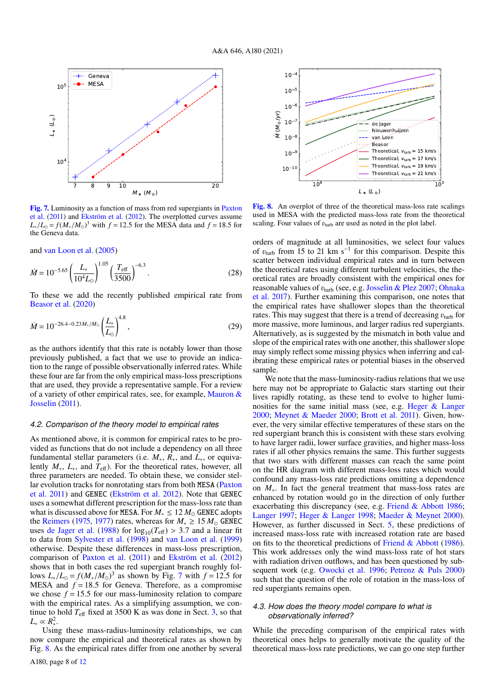

<span id="page-8-2"></span>[Fig. 7.](http://dexter.edpsciences.org/applet.php?DOI=10.1051/0004-6361/202039224&pdf_id=0) Luminosity as a function of mass from red supergiants in [Paxton](#page-11-24) [et al.](#page-11-24) [\(2011\)](#page-11-24) and [Ekström et al.](#page-11-31) [\(2012\)](#page-11-31). The overplotted curves assume  $L_* / L_{\odot} = f(M_* / M_{\odot})^3$  with  $f = 12.5$  for the MESA data and  $f = 18.5$  for the Geneva data the Geneva data.

and [van Loon et al.](#page-11-32) [\(2005\)](#page-11-32)

$$
\dot{M} = 10^{-5.65} \left( \frac{L_*}{10^4 L_\odot} \right)^{1.05} \left( \frac{T_{\text{eff}}}{3500} \right)^{-6.3} . \tag{28}
$$

To these we add the recently published empirical rate from [Beasor et al.](#page-11-23) [\(2020\)](#page-11-23)

$$
\dot{M} = 10^{-26.4 - 0.23 M_*/M_{\odot}} \left(\frac{L_*}{L_{\odot}}\right)^{4.8},\tag{29}
$$

as the authors identify that this rate is notably lower than those previously published, a fact that we use to provide an indication to the range of possible observationally inferred rates. While these four are far from the only empirical mass-loss prescriptions that are used, they provide a representative sample. For a review of a variety of other empirical rates, see, for example, [Mauron &](#page-11-1) [Josselin](#page-11-1) [\(2011\)](#page-11-1).

### <span id="page-8-0"></span>*4.2. Comparison of the theory model to empirical rates*

As mentioned above, it is common for empirical rates to be provided as functions that do not include a dependency on all three fundamental stellar parameters (i.e. *M*∗, *R*∗, and *L*∗, or equivalently *M*∗, *L*∗, and *T*eff). For the theoretical rates, however, all three parameters are needed. To obtain these, we consider stellar evolution tracks for nonrotating stars from both MESA [\(Paxton](#page-11-24) [et al.](#page-11-24) [2011\)](#page-11-24) and GENEC [\(Ekström et al.](#page-11-31) [2012\)](#page-11-31). Note that GENEC uses a somewhat different prescription for the mass-loss rate than what is discussed above for MESA. For  $M_* \leq 12 M_{\odot}$  GENEC adopts the [Reimers](#page-11-33) [\(1975,](#page-11-33) [1977\)](#page-11-34) rates, whereas for  $M_* \geq 15 M_{\odot}$  GENEC uses [de Jager et al.](#page-11-29) [\(1988\)](#page-11-29) for  $\log_{10}(T_{\text{eff}}) > 3.7$  and a linear fit to data from [Sylvester et al.](#page-11-35) [\(1998\)](#page-11-35) and [van Loon et al.](#page-11-36) [\(1999\)](#page-11-36) otherwise. Despite these differences in mass-loss prescription, comparison of [Paxton et al.](#page-11-24) [\(2011\)](#page-11-24) and [Ekström et al.](#page-11-31) [\(2012\)](#page-11-31) shows that in both cases the red supergiant branch roughly follows  $L_* / L_{\odot} = f(M_*/M_{\odot})^3$  as shown by Fig. [7](#page-8-2) with  $f = 12.5$  for MFSA and  $f = 18.5$  for Geneva. Therefore, as a compromise MESA and  $f = 18.5$  for Geneva. Therefore, as a compromise we chose  $f = 15.5$  for our mass-luminosity relation to compare with the empirical rates. As a simplifying assumption, we continue to hold  $T_{\text{eff}}$  fixed at 3500 K as was done in Sect. [3,](#page-5-0) so that  $L_* \propto R_*^2$ .

Using these mass-radius-luminosity relationships, we can now compare the empirical and theoretical rates as shown by Fig. [8.](#page-8-3) As the empirical rates differ from one another by several



<span id="page-8-3"></span>[Fig. 8.](http://dexter.edpsciences.org/applet.php?DOI=10.1051/0004-6361/202039224&pdf_id=0) An overplot of three of the theoretical mass-loss rate scalings used in MESA with the predicted mass-loss rate from the theoretical scaling. Four values of  $v_{\text{turb}}$  are used as noted in the plot label.

orders of magnitude at all luminosities, we select four values of  $v_{\text{turb}}$  from 15 to 21 km s<sup>-1</sup> for this comparison. Despite this scatter between individual empirical rates and in turn between scatter between individual empirical rates and in turn between the theoretical rates using different turbulent velocities, the theoretical rates are broadly consistent with the empirical ones for reasonable values of  $v<sub>turb</sub>$  (see, e.g. [Josselin & Plez](#page-11-8) [2007;](#page-11-8) [Ohnaka](#page-11-10) [et al.](#page-11-10) [2017\)](#page-11-10). Further examining this comparison, one notes that the empirical rates have shallower slopes than the theoretical rates. This may suggest that there is a trend of decreasing  $v<sub>turb</sub>$  for more massive, more luminous, and larger radius red supergiants. Alternatively, as is suggested by the mismatch in both value and slope of the empirical rates with one another, this shallower slope may simply reflect some missing physics when inferring and calibrating these empirical rates or potential biases in the observed sample.

We note that the mass-luminosity-radius relations that we use here may not be appropriate to Galactic stars starting out their lives rapidly rotating, as these tend to evolve to higher luminosities for the same initial mass (see, e.g. [Heger & Langer](#page-11-37) [2000;](#page-11-37) [Meynet & Maeder](#page-11-38) [2000;](#page-11-38) [Brott et al.](#page-11-39) [2011\)](#page-11-39). Given, however, the very similar effective temperatures of these stars on the red supergiant branch this is consistent with these stars evolving to have larger radii, lower surface gravities, and higher mass-loss rates if all other physics remains the same. This further suggests that two stars with different masses can reach the same point on the HR diagram with different mass-loss rates which would confound any mass-loss rate predictions omitting a dependence on *M*∗. In fact the general treatment that mass-loss rates are enhanced by rotation would go in the direction of only further exacerbating this discrepancy (see, e.g. [Friend & Abbott](#page-11-40) [1986;](#page-11-40) [Langer](#page-11-41) [1997;](#page-11-41) [Heger & Langer](#page-11-42) [1998;](#page-11-42) [Maeder & Meynet](#page-11-43) [2000\)](#page-11-43). However, as further discussed in Sect. [5,](#page-9-0) these predictions of increased mass-loss rate with increased rotation rate are based on fits to the theoretical predictions of [Friend & Abbott](#page-11-40) [\(1986\)](#page-11-40). This work addresses only the wind mass-loss rate of hot stars with radiation driven outflows, and has been questioned by subsequent work (e.g. [Owocki et al.](#page-11-44) [1996;](#page-11-44) [Petrenz & Puls](#page-11-45) [2000\)](#page-11-45) such that the question of the role of rotation in the mass-loss of red supergiants remains open.

### <span id="page-8-1"></span>*4.3. How does the theory model compare to what is observationally inferred?*

While the preceding comparison of the empirical rates with theoretical ones helps to generally motivate the quality of the theoretical mass-loss rate predictions, we can go one step further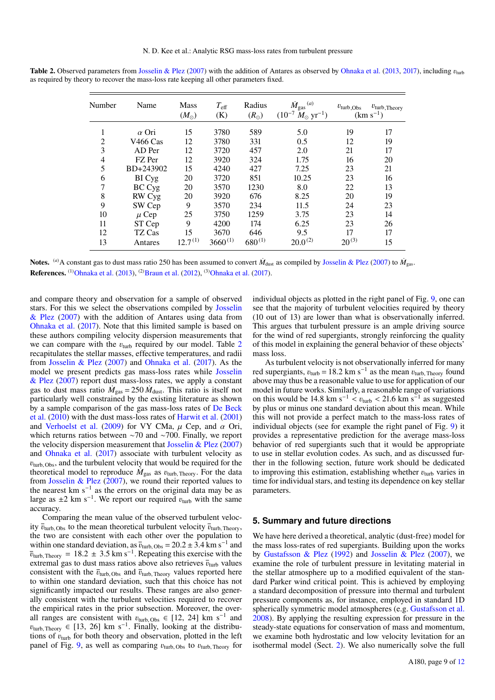<span id="page-9-1"></span>Table 2. Observed parameters from [Josselin & Plez](#page-11-8) [\(2007\)](#page-11-8) with the addition of Antares as observed by [Ohnaka et al.](#page-11-46) [\(2013,](#page-11-46) [2017\)](#page-11-10), including  $v_{\text{turb}}$ as required by theory to recover the mass-loss rate keeping all other parameters fixed.

| Name         | <b>Mass</b><br>$(M_{\odot})$                                               | $T_{\rm eff}$<br>(K)             | Radius<br>$(R_{\odot})$                              | $\left(a\right)$<br>$\dot{M}_{\rm gas}$<br>$(10^{-7}$<br>$M_{\odot}$ yr <sup>-1</sup> ) | $v_{\text{turb,Obs}}$                                                                                                        | $v_{\text{turb, Theory}}$<br>$(km s^{-1})$           |
|--------------|----------------------------------------------------------------------------|----------------------------------|------------------------------------------------------|-----------------------------------------------------------------------------------------|------------------------------------------------------------------------------------------------------------------------------|------------------------------------------------------|
| $\alpha$ Ori | 15                                                                         | 3780                             | 589                                                  | 5.0                                                                                     | 19                                                                                                                           | 17<br>19                                             |
| AD Per       | 12                                                                         | 3720                             | 457                                                  | 2.0                                                                                     | 21                                                                                                                           | 17                                                   |
|              |                                                                            |                                  |                                                      |                                                                                         |                                                                                                                              | 20<br>21                                             |
| BI Cyg       | 20                                                                         | 3720                             | 851                                                  | 10.25                                                                                   | 23                                                                                                                           | 16                                                   |
|              |                                                                            |                                  |                                                      |                                                                                         |                                                                                                                              | 13<br>19                                             |
| SW Cep       | 9                                                                          | 3570                             | 234                                                  | 11.5                                                                                    | 24                                                                                                                           | 23                                                   |
|              | 9                                                                          |                                  |                                                      |                                                                                         |                                                                                                                              | 14<br>26                                             |
| TZ Cas       | 15                                                                         | 3670                             | 646                                                  | 9.5                                                                                     | 17                                                                                                                           | 17<br>15                                             |
|              | V466 Cas<br>FZ Per<br>BD+243902<br>BC Cyg<br>RW Cyg<br>$\mu$ Cep<br>ST Cep | 12<br>12<br>15<br>20<br>20<br>25 | 3780<br>3920<br>4240<br>3570<br>3920<br>3750<br>4200 | 331<br>324<br>427<br>1230<br>676<br>1259<br>174                                         | 0.5<br>1.75<br>7.25<br>8.0<br>8.25<br>3.75<br>6.25<br>$12.7^{(1)}$<br>$3660^{(1)}$<br>$20.0^{(2)}$<br>$680^{(1)}$<br>Antares | 12<br>16<br>23<br>22<br>20<br>23<br>23<br>$20^{(3)}$ |

Notes. (a) A constant gas to dust mass ratio 250 has been assumed to convert  $\dot{M}_{\text{dust}}$  as compiled by [Josselin & Plez](#page-11-8) [\(2007\)](#page-11-8) to  $\dot{M}_{\text{gas}}$ . **References.** (1)[Ohnaka et al.](#page-11-10) [\(2013\)](#page-11-46), <sup>(2)</sup>[Braun et al.](#page-11-47) [\(2012\)](#page-11-47), <sup>(3)</sup>Ohnaka et al. [\(2017\)](#page-11-10).

and compare theory and observation for a sample of observed stars. For this we select the observations compiled by [Josselin](#page-11-8) [& Plez](#page-11-8) [\(2007\)](#page-11-8) with the addition of Antares using data from [Ohnaka et al.](#page-11-10) [\(2017\)](#page-11-10). Note that this limited sample is based on these authors compiling velocity dispersion measurements that we can compare with the  $v_{\text{turb}}$  required by our model. Table [2](#page-9-1) recapitulates the stellar masses, effective temperatures, and radii from [Josselin & Plez](#page-11-8) [\(2007\)](#page-11-8) and [Ohnaka et al.](#page-11-10) [\(2017\)](#page-11-10). As the model we present predicts gas mass-loss rates while [Josselin](#page-11-8) [& Plez](#page-11-8) [\(2007\)](#page-11-8) report dust mass-loss rates, we apply a constant gas to dust mass ratio  $\dot{M}_{\text{gas}} = 250 \,\dot{M}_{\text{dust}}$ . This ratio is itself not particularly well constrained by the existing literature as shown by a sample comparison of the gas mass-loss rates of [De Beck](#page-11-48) [et al.](#page-11-48) [\(2010\)](#page-11-48) with the dust mass-loss rates of [Harwit et al.](#page-11-49) [\(2001\)](#page-11-49) and [Verhoelst et al.](#page-11-50) [\(2009\)](#page-11-50) for VY CMa,  $\mu$  Cep, and  $\alpha$  Ori, which returns ratios between ∼70 and ∼700. Finally, we report the velocity dispersion measurement that [Josselin & Plez](#page-11-8)  $(2007)$ and [Ohnaka et al.](#page-11-10) [\(2017\)](#page-11-10) associate with turbulent velocity as  $v<sub>turb. Obs</sub>$ , and the turbulent velocity that would be required for the theoretical model to reproduce  $\dot{M}_{\text{gas}}$  as  $v_{\text{turb}}$ , Theory. For the data from **Iosselin** & Plez (2007) we round their reported values to from [Josselin & Plez](#page-11-8)  $(2007)$ , we round their reported values to the nearest km  $s^{-1}$  as the errors on the original data may be as large as  $\pm 2$  km s<sup>-1</sup>. We report our required  $v_{\text{turb}}$  with the same accuracy accuracy.

Comparing the mean value of the observed turbulent velocity  $\bar{v}_{\text{turb. Obs}}$  to the mean theoretical turbulent velocity  $\bar{v}_{\text{turb. Theory}}$ , the two are consistent with each other over the population to within one standard deviation, as  $\bar{v}_{\text{turb, Obs}} = 20.2 \pm 3.4 \text{ km s}^{-1}$  and  $\bar{v}_{\text{turb}}$ ,  $\bar{v}_{\text{turb}} = 18.2 + 3.5 \text{ km s}^{-1}$ . Repeating this exercise with the  $\overline{v}_{\text{turb, Theory}} = 18.2 \pm 3.5 \text{ km s}^{-1}$ . Repeating this exercise with the extremal gas to dust mass ratios above also retrieves  $\overline{v}_{\text{turb}}$  values extremal gas to dust mass ratios above also retrieves  $\bar{v}_{\text{turb}}$  values consistent with the  $\bar{v}_{\text{turb}}$  or and  $\bar{v}_{\text{turb}}$  reported here consistent with the  $\bar{v}_{\text{turb, Obs}}$  and  $\bar{v}_{\text{turb, Theory}}$  values reported here to within one standard deviation, such that this choice has not significantly impacted our results. These ranges are also generally consistent with the turbulent velocities required to recover the empirical rates in the prior subsection. Moreover, the overall ranges are consistent with  $v_{\text{turb,Obs}} \in [12, 24]$  km s<sup>-1</sup> and  $v_{\text{turb}}$   $\tau_{\text{turb}} \in [13, 26]$  km s<sup>-1</sup> Finally looking at the distribu $v_{\text{turb, Theory}}$  ∈ [13, 26] km s<sup>-1</sup>. Finally, looking at the distributions of  $v_{\text{turb}}$  for both theory and observation plotted in the left tions of  $v<sub>turb</sub>$  for both theory and observation, plotted in the left panel of Fig. [9,](#page-10-0) as well as comparing  $v_{\text{turb, Obs}}$  to  $v_{\text{turb, Theory}}$  for individual objects as plotted in the right panel of Fig. [9,](#page-10-0) one can see that the majority of turbulent velocities required by theory (10 out of 13) are lower than what is observationally inferred. This argues that turbulent pressure is an ample driving source for the wind of red supergiants, strongly reinforcing the quality of this model in explaining the general behavior of these objects' mass loss.

As turbulent velocity is not observationally inferred for many red supergiants,  $v_{\text{turb}} = 18.2 \text{ km s}^{-1}$  as the mean  $v_{\text{turb}}$ , Theory found above may thus be a reasonable value to use for application of our above may thus be a reasonable value to use for application of our model in future works. Similarly, a reasonable range of variations on this would be 14.8 km s<sup>-1</sup> <  $v_{\text{turb}}$  < 21.6 km s<sup>-1</sup> as suggested by plus or minus one standard deviation about this mean. While by plus or minus one standard deviation about this mean. While this will not provide a perfect match to the mass-loss rates of individual objects (see for example the right panel of Fig. [9\)](#page-10-0) it provides a representative prediction for the average mass-loss behavior of red supergiants such that it would be appropriate to use in stellar evolution codes. As such, and as discussed further in the following section, future work should be dedicated to improving this estimation, establishing whether  $v_{\text{turb}}$  varies in time for individual stars, and testing its dependence on key stellar parameters.

#### <span id="page-9-0"></span>**5. Summary and future directions**

We have here derived a theoretical, analytic (dust-free) model for the mass loss-rates of red supergiants. Building upon the works by [Gustafsson & Plez](#page-11-7) [\(1992\)](#page-11-7) and [Josselin & Plez](#page-11-8) [\(2007\)](#page-11-8), we examine the role of turbulent pressure in levitating material in the stellar atmosphere up to a modified equivalent of the standard Parker wind critical point. This is achieved by employing a standard decomposition of pressure into thermal and turbulent pressure components as, for instance, employed in standard 1D spherically symmetric model atmospheres (e.g. [Gustafsson et al.](#page-11-14) [2008\)](#page-11-14). By applying the resulting expression for pressure in the steady-state equations for conservation of mass and momentum, we examine both hydrostatic and low velocity levitation for an isothermal model (Sect. [2\)](#page-2-0). We also numerically solve the full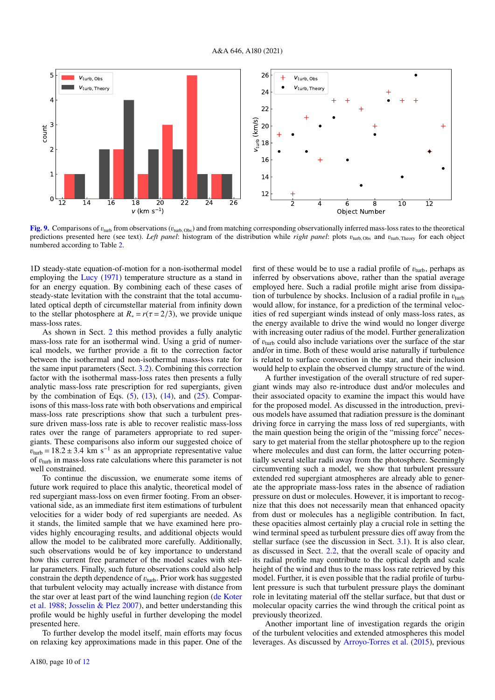

<span id="page-10-0"></span>[Fig. 9.](http://dexter.edpsciences.org/applet.php?DOI=10.1051/0004-6361/202039224&pdf_id=0) Comparisons of  $v_{\text{turb}}$  from observations ( $v_{\text{turb}}$ ,  $_{\text{Obs}}$ ) and from matching corresponding observationally inferred mass-loss rates to the theoretical predictions presented here (see text). *Left panel*: histogram of the distribution while *right panel*: plots v<sub>turb, Obs and v<sub>turb</sub>, Theory for each object</sub> numbered according to Table [2.](#page-9-1)

1D steady-state equation-of-motion for a non-isothermal model employing the [Lucy](#page-11-15) [\(1971\)](#page-11-15) temperature structure as a stand in for an energy equation. By combining each of these cases of steady-state levitation with the constraint that the total accumulated optical depth of circumstellar material from infinity down to the stellar photosphere at  $R_* = r(\tau = 2/3)$ , we provide unique mass-loss rates.

As shown in Sect. [2](#page-2-0) this method provides a fully analytic mass-loss rate for an isothermal wind. Using a grid of numerical models, we further provide a fit to the correction factor between the isothermal and non-isothermal mass-loss rate for the same input parameters (Sect. [3.2\)](#page-7-5). Combining this correction factor with the isothermal mass-loss rates then presents a fully analytic mass-loss rate prescription for red supergiants, given by the combination of Eqs.  $(5)$ ,  $(13)$ ,  $(14)$ , and  $(25)$ . Comparisons of this mass-loss rate with both observations and empirical mass-loss rate prescriptions show that such a turbulent pressure driven mass-loss rate is able to recover realistic mass-loss rates over the range of parameters appropriate to red supergiants. These comparisons also inform our suggested choice of  $v_{\text{turb}} = 18.2 \pm 3.4 \text{ km s}^{-1}$  as an appropriate representative value<br>of  $v_{\text{turb}}$  in mass-loss rate calculations where this parameter is not of  $v_{\text{turb}}$  in mass-loss rate calculations where this parameter is not well constrained.

To continue the discussion, we enumerate some items of future work required to place this analytic, theoretical model of red supergiant mass-loss on even firmer footing. From an observational side, as an immediate first item estimations of turbulent velocities for a wider body of red supergiants are needed. As it stands, the limited sample that we have examined here provides highly encouraging results, and additional objects would allow the model to be calibrated more carefully. Additionally, such observations would be of key importance to understand how this current free parameter of the model scales with stellar parameters. Finally, such future observations could also help constrain the depth dependence of  $v_{\text{turb}}$ . Prior work has suggested that turbulent velocity may actually increase with distance from the star over at least part of the wind launching region [\(de Koter](#page-11-51) [et al.](#page-11-51) [1988;](#page-11-51) [Josselin & Plez](#page-11-8) [2007\)](#page-11-8), and better understanding this profile would be highly useful in further developing the model presented here.

To further develop the model itself, main efforts may focus on relaxing key approximations made in this paper. One of the first of these would be to use a radial profile of  $v<sub>turb</sub>$ , perhaps as inferred by observations above, rather than the spatial average employed here. Such a radial profile might arise from dissipation of turbulence by shocks. Inclusion of a radial profile in  $v<sub>turb</sub>$ would allow, for instance, for a prediction of the terminal velocities of red supergiant winds instead of only mass-loss rates, as the energy available to drive the wind would no longer diverge with increasing outer radius of the model. Further generalization of  $v<sub>turb</sub>$  could also include variations over the surface of the star and/or in time. Both of these would arise naturally if turbulence is related to surface convection in the star, and their inclusion would help to explain the observed clumpy structure of the wind.

A further investigation of the overall structure of red supergiant winds may also re-introduce dust and/or molecules and their associated opacity to examine the impact this would have for the proposed model. As discussed in the introduction, previous models have assumed that radiation pressure is the dominant driving force in carrying the mass loss of red supergiants, with the main question being the origin of the "missing force" necessary to get material from the stellar photosphere up to the region where molecules and dust can form, the latter occurring potentially several stellar radii away from the photosphere. Seemingly circumventing such a model, we show that turbulent pressure extended red supergiant atmospheres are already able to generate the appropriate mass-loss rates in the absence of radiation pressure on dust or molecules. However, it is important to recognize that this does not necessarily mean that enhanced opacity from dust or molecules has a negligible contribution. In fact, these opacities almost certainly play a crucial role in setting the wind terminal speed as turbulent pressure dies off away from the stellar surface (see the discussion in Sect. [3.1\)](#page-5-3). It is also clear, as discussed in Sect. [2.2,](#page-3-5) that the overall scale of opacity and its radial profile may contribute to the optical depth and scale height of the wind and thus to the mass loss rate retrieved by this model. Further, it is even possible that the radial profile of turbulent pressure is such that turbulent pressure plays the dominant role in levitating material off the stellar surface, but that dust or molecular opacity carries the wind through the critical point as previously theorized.

Another important line of investigation regards the origin of the turbulent velocities and extended atmospheres this model leverages. As discussed by [Arroyo-Torres et al.](#page-11-6) [\(2015\)](#page-11-6), previous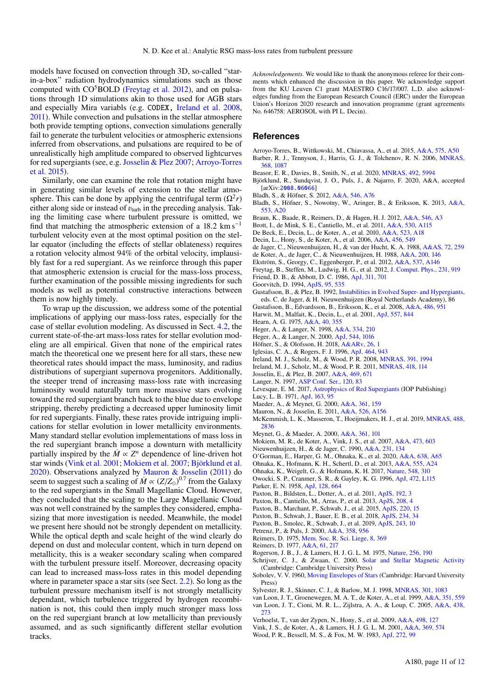models have focused on convection through 3D, so-called "starin-a-box" radiation hydrodynamics simulations such as those computed with  $CO<sup>5</sup>BOLD$  [\(Freytag et al.](#page-11-9) [2012\)](#page-11-9), and on pulsations through 1D simulations akin to those used for AGB stars and especially Mira variabls (e.g. CODEX, [Ireland et al.](#page-11-52) [2008,](#page-11-52) [2011\)](#page-11-53). While convection and pulsations in the stellar atmosphere both provide tempting options, convection simulations generally fail to generate the turbulent velocities or atmospheric extensions inferred from observations, and pulsations are required to be of unrealistically high amplitude compared to observed lightcurves for red supergiants (see, e.g. [Josselin & Plez](#page-11-8) [2007;](#page-11-8) [Arroyo-Torres](#page-11-6) [et al.](#page-11-6) [2015\)](#page-11-6).

Similarly, one can examine the role that rotation might have in generating similar levels of extension to the stellar atmosphere. This can be done by applying the centrifugal term  $(\Omega^2 r)$ either along side or instead of  $v<sub>turb</sub>$  in the preceding analysis. Taking the limiting case where turbulent pressure is omitted, we find that matching the atmospheric extension of a 18.2 km s<sup>-1</sup> turbulent velocity even at the most optimal position on the stellar equator (including the effects of stellar oblateness) requires a rotation velocity almost 94% of the orbital velocity, implausibly fast for a red supergiant. As we reinforce through this paper that atmospheric extension is crucial for the mass-loss process, further examination of the possible missing ingredients for such models as well as potential constructive interactions between them is now highly timely.

To wrap up the discussion, we address some of the potential implications of applying our mass-loss rates, especially for the case of stellar evolution modeling. As discussed in Sect. [4.2,](#page-8-0) the current state-of-the-art mass-loss rates for stellar evolution modeling are all empirical. Given that none of the empirical rates match the theoretical one we present here for all stars, these new theoretical rates should impact the mass, luminosity, and radius distributions of supergiant supernova progenitors. Additionally, the steeper trend of increasing mass-loss rate with increasing luminosity would naturally turn more massive stars evolving toward the red supergiant branch back to the blue due to envelope stripping, thereby predicting a decreased upper luminosity limit for red supergiants. Finally, these rates provide intriguing implications for stellar evolution in lower metallicity environments. Many standard stellar evolution implementations of mass loss in the red supergiant branch impose a downturn with metallicity partially inspired by the  $\dot{M} \propto Z^n$  dependence of line-driven hot star winds [\(Vink et al.](#page-11-54) [2001;](#page-11-54) [Mokiem et al.](#page-11-55) [2007;](#page-11-55) [Björklund et al.](#page-11-56) [2020\)](#page-11-56). Observations analyzed by [Mauron & Josselin](#page-11-1) [\(2011\)](#page-11-1) do seem to suggest such a scaling of  $\dot{M} \propto (Z/Z_{\odot})^{0.7}$  from the Galaxy<br>to the red supergiants in the Small Magellanic Cloud, However to the red supergiants in the Small Magellanic Cloud. However, they concluded that the scaling to the Large Magellanic Cloud was not well constrained by the samples they considered, emphasizing that more investigation is needed. Meanwhile, the model we present here should not be strongly dependent on metallicity. While the optical depth and scale height of the wind clearly do depend on dust and molecular content, which in turn depend on metallicity, this is a weaker secondary scaling when compared with the turbulent pressure itself. Moreover, decreasing opacity can lead to increased mass-loss rates in this model depending where in parameter space a star sits (see Sect. [2.2\)](#page-3-5). So long as the turbulent pressure mechanism itself is not strongly metallicity dependant, which turbulence triggered by hydrogen recombination is not, this could then imply much stronger mass loss on the red supergiant branch at low metallicity than previously assumed, and as such significantly different stellar evolution tracks.

*Acknowledgements.* We would like to thank the anonymous referee for their comments which enhanced the discussion in this paper. We acknowledge support from the KU Leuven C1 grant MAESTRO C16/17/007. L.D. also acknowledges funding from the European Research Council (ERC) under the European Union's Horizon 2020 research and innovation programme (grant agreements No. 646758: AEROSOL with PI L. Decin).

#### **References**

- <span id="page-11-17"></span><span id="page-11-6"></span>Arroyo-Torres, B., Wittkowski, M., Chiavassa, A., et al. 2015, [A&A, 575, A50](http://linker.aanda.org/10.1051/0004-6361/202039224/1) Barber, R. J., Tennyson, J., Harris, G. J., & Tolchenov, R. N. 2006, [MNRAS,](http://linker.aanda.org/10.1051/0004-6361/202039224/2)
- [368, 1087](http://linker.aanda.org/10.1051/0004-6361/202039224/2)
- <span id="page-11-23"></span>Beasor, E. R., Davies, B., Smith, N., et al. 2020, [MNRAS, 492, 5994](http://linker.aanda.org/10.1051/0004-6361/202039224/3)
- <span id="page-11-56"></span>Björklund, R., Sundqvist, J. O., Puls, J., & Najarro, F. 2020, A&A, accepted [arXiv:[2008.06066](https://arxiv.org/abs/2008.06066)]
- <span id="page-11-3"></span>Bladh, S., & Höfner, S. 2012, [A&A, 546, A76](http://linker.aanda.org/10.1051/0004-6361/202039224/5)
- <span id="page-11-4"></span>Bladh, S., Höfner, S., Nowotny, W., Aringer, B., & Eriksson, K. 2013, [A&A,](http://linker.aanda.org/10.1051/0004-6361/202039224/6) [553, A20](http://linker.aanda.org/10.1051/0004-6361/202039224/6)
- <span id="page-11-47"></span>Braun, K., Baade, R., Reimers, D., & Hagen, H. J. 2012, [A&A, 546, A3](http://linker.aanda.org/10.1051/0004-6361/202039224/7)
- <span id="page-11-39"></span>Brott, I., de Mink, S. E., Cantiello, M., et al. 2011, [A&A, 530, A115](http://linker.aanda.org/10.1051/0004-6361/202039224/8)
- <span id="page-11-48"></span>De Beck, E., Decin, L., de Koter, A., et al. 2010, [A&A, 523, A18](http://linker.aanda.org/10.1051/0004-6361/202039224/9)
- <span id="page-11-20"></span>Decin, L., Hony, S., de Koter, A., et al. 2006, [A&A, 456, 549](http://linker.aanda.org/10.1051/0004-6361/202039224/10)
- <span id="page-11-29"></span>de Jager, C., Nieuwenhuijzen, H., & van der Hucht, K. A. 1988, [A&AS, 72, 259](http://linker.aanda.org/10.1051/0004-6361/202039224/11)
- <span id="page-11-51"></span><span id="page-11-31"></span>de Koter, A., de Jager, C., & Nieuwenhuijzen, H. 1988, [A&A, 200, 146](http://linker.aanda.org/10.1051/0004-6361/202039224/12)
- <span id="page-11-9"></span>Ekström, S., Georgy, C., Eggenberger, P., et al. 2012, [A&A, 537, A146](http://linker.aanda.org/10.1051/0004-6361/202039224/13)
- <span id="page-11-40"></span>Freytag, B., Steffen, M., Ludwig, H. G., et al. 2012, [J. Comput. Phys., 231, 919](http://linker.aanda.org/10.1051/0004-6361/202039224/14) Friend, D. B., & Abbott, D. C. 1986, [ApJ, 311, 701](http://linker.aanda.org/10.1051/0004-6361/202039224/15)
- <span id="page-11-18"></span>Goorvitch, D. 1994, [ApJS, 95, 535](http://linker.aanda.org/10.1051/0004-6361/202039224/16)
- <span id="page-11-7"></span>Gustafsson, B., & Plez, B. 1992, [Instabilities in Evolved Super- and Hypergiants,](http://linker.aanda.org/10.1051/0004-6361/202039224/17) eds. C. de Jager, & H. Nieuwenhuijzen (Royal Netherlands Academy), 86
- Gustafsson, B., Edvardsson, B., Eriksson, K., et al. 2008, [A&A, 486, 951](http://linker.aanda.org/10.1051/0004-6361/202039224/18)
- <span id="page-11-49"></span><span id="page-11-14"></span><span id="page-11-12"></span>Harwit, M., Malfait, K., Decin, L., et al. 2001, [ApJ, 557, 844](http://linker.aanda.org/10.1051/0004-6361/202039224/19)
- Hearn, A. G. 1975, [A&A, 40, 355](http://linker.aanda.org/10.1051/0004-6361/202039224/20)
- 
- <span id="page-11-42"></span>Heger, A., & Langer, N. 1998, [A&A, 334, 210](http://linker.aanda.org/10.1051/0004-6361/202039224/21)
- <span id="page-11-37"></span><span id="page-11-2"></span>Heger, A., & Langer, N. 2000, [ApJ, 544, 1016](http://linker.aanda.org/10.1051/0004-6361/202039224/22)
- <span id="page-11-16"></span>Höfner, S., & Olofsson, H. 2018, [A&ARv, 26, 1](http://linker.aanda.org/10.1051/0004-6361/202039224/23) Iglesias, C. A., & Rogers, F. J. 1996, [ApJ, 464, 943](http://linker.aanda.org/10.1051/0004-6361/202039224/24)
- 
- <span id="page-11-52"></span>Ireland, M. J., Scholz, M., & Wood, P. R. 2008, [MNRAS, 391, 1994](http://linker.aanda.org/10.1051/0004-6361/202039224/25)
- <span id="page-11-53"></span>Ireland, M. J., Scholz, M., & Wood, P. R. 2011, [MNRAS, 418, 114](http://linker.aanda.org/10.1051/0004-6361/202039224/26)
- <span id="page-11-8"></span>Josselin, E., & Plez, B. 2007, [A&A, 469, 671](http://linker.aanda.org/10.1051/0004-6361/202039224/27)
- <span id="page-11-41"></span>Langer, N. 1997, [ASP Conf. Ser., 120, 83](http://linker.aanda.org/10.1051/0004-6361/202039224/28)
- <span id="page-11-15"></span><span id="page-11-0"></span>Levesque, E. M. 2017, [Astrophysics of Red Supergiants](http://linker.aanda.org/10.1051/0004-6361/202039224/29) (IOP Publishing) Lucy, L. B. 1971, [ApJ, 163, 95](http://linker.aanda.org/10.1051/0004-6361/202039224/30)
- <span id="page-11-43"></span>Maeder, A., & Meynet, G. 2000, [A&A, 361, 159](http://linker.aanda.org/10.1051/0004-6361/202039224/31)
- 
- <span id="page-11-1"></span>Mauron, N., & Josselin, E. 2011, [A&A, 526, A156](http://linker.aanda.org/10.1051/0004-6361/202039224/32)
- <span id="page-11-19"></span>McKemmish, L. K., Masseron, T., Hoeijmakers, H. J., et al. 2019, [MNRAS, 488,](http://linker.aanda.org/10.1051/0004-6361/202039224/33) [2836](http://linker.aanda.org/10.1051/0004-6361/202039224/33)
- <span id="page-11-38"></span>Meynet, G., & Maeder, A. 2000, [A&A, 361, 101](http://linker.aanda.org/10.1051/0004-6361/202039224/34)
- <span id="page-11-55"></span>Mokiem, M. R., de Koter, A., Vink, J. S., et al. 2007, [A&A, 473, 603](http://linker.aanda.org/10.1051/0004-6361/202039224/35)
- <span id="page-11-30"></span><span id="page-11-22"></span>Nieuwenhuijzen, H., & de Jager, C. 1990, [A&A, 231, 134](http://linker.aanda.org/10.1051/0004-6361/202039224/36)
- O'Gorman, E., Harper, G. M., Ohnaka, K., et al. 2020, [A&A, 638, A65](http://linker.aanda.org/10.1051/0004-6361/202039224/37)
- <span id="page-11-46"></span>Ohnaka, K., Hofmann, K. H., Schertl, D., et al. 2013, [A&A, 555, A24](http://linker.aanda.org/10.1051/0004-6361/202039224/38)
- <span id="page-11-10"></span>Ohnaka, K., Weigelt, G., & Hofmann, K. H. 2017, [Nature, 548, 310](http://linker.aanda.org/10.1051/0004-6361/202039224/39)
- <span id="page-11-44"></span>Owocki, S. P., Cranmer, S. R., & Gayley, K. G. 1996, [ApJ, 472, L115](http://linker.aanda.org/10.1051/0004-6361/202039224/40)
- <span id="page-11-11"></span>Parker, E. N. 1958, [ApJ, 128, 664](http://linker.aanda.org/10.1051/0004-6361/202039224/41)
- <span id="page-11-24"></span>Paxton, B., Bildsten, L., Dotter, A., et al. 2011, [ApJS, 192, 3](http://linker.aanda.org/10.1051/0004-6361/202039224/42)
- <span id="page-11-25"></span>Paxton, B., Cantiello, M., Arras, P., et al. 2013, [ApJS, 208, 4](http://linker.aanda.org/10.1051/0004-6361/202039224/43)
- <span id="page-11-27"></span><span id="page-11-26"></span>Paxton, B., Marchant, P., Schwab, J., et al. 2015, [ApJS, 220, 15](http://linker.aanda.org/10.1051/0004-6361/202039224/44)
- Paxton, B., Schwab, J., Bauer, E. B., et al. 2018, [ApJS, 234, 34](http://linker.aanda.org/10.1051/0004-6361/202039224/45)
- <span id="page-11-28"></span>Paxton, B., Smolec, R., Schwab, J., et al. 2019, [ApJS, 243, 10](http://linker.aanda.org/10.1051/0004-6361/202039224/46)
- <span id="page-11-45"></span><span id="page-11-33"></span>Petrenz, P., & Puls, J. 2000, [A&A, 358, 956](http://linker.aanda.org/10.1051/0004-6361/202039224/47)
- Reimers, D. 1975, [Mem. Soc. R. Sci. Liege, 8, 369](http://linker.aanda.org/10.1051/0004-6361/202039224/48)
- <span id="page-11-34"></span>Reimers, D. 1977, [A&A, 61, 217](http://linker.aanda.org/10.1051/0004-6361/202039224/49)
- <span id="page-11-13"></span>Rogerson, J. B., J., & Lamers, H. J. G. L. M. 1975, [Nature, 256, 190](http://linker.aanda.org/10.1051/0004-6361/202039224/50)
- <span id="page-11-21"></span>Schrijver, C. J., & Zwaan, C. 2000, [Solar and Stellar Magnetic Activity](http://linker.aanda.org/10.1051/0004-6361/202039224/51) (Cambridge: Cambridge University Press)
- <span id="page-11-57"></span>Sobolev, V. V. 1960, [Moving Envelopes of Stars](http://linker.aanda.org/10.1051/0004-6361/202039224/52) (Cambridge: Harvard University Press)
- <span id="page-11-35"></span>Sylvester, R. J., Skinner, C. J., & Barlow, M. J. 1998, [MNRAS, 301, 1083](http://linker.aanda.org/10.1051/0004-6361/202039224/53)
- <span id="page-11-36"></span><span id="page-11-32"></span>van Loon, J. T., Groenewegen, M. A. T., de Koter, A., et al. 1999, [A&A, 351, 559](http://linker.aanda.org/10.1051/0004-6361/202039224/54) van Loon, J. T., Cioni, M. R. L., Zijlstra, A. A., & Loup, C. 2005, [A&A, 438,](http://linker.aanda.org/10.1051/0004-6361/202039224/55) [273](http://linker.aanda.org/10.1051/0004-6361/202039224/55)
- 
- <span id="page-11-54"></span><span id="page-11-50"></span>Verhoelst, T., van der Zypen, N., Hony, S., et al. 2009, [A&A, 498, 127](http://linker.aanda.org/10.1051/0004-6361/202039224/56) Vink, J. S., de Koter, A., & Lamers, H. J. G. L. M. 2001, [A&A, 369, 574](http://linker.aanda.org/10.1051/0004-6361/202039224/57)
- <span id="page-11-5"></span>Wood, P. R., Bessell, M. S., & Fox, M. W. 1983, [ApJ, 272, 99](http://linker.aanda.org/10.1051/0004-6361/202039224/58)
	-